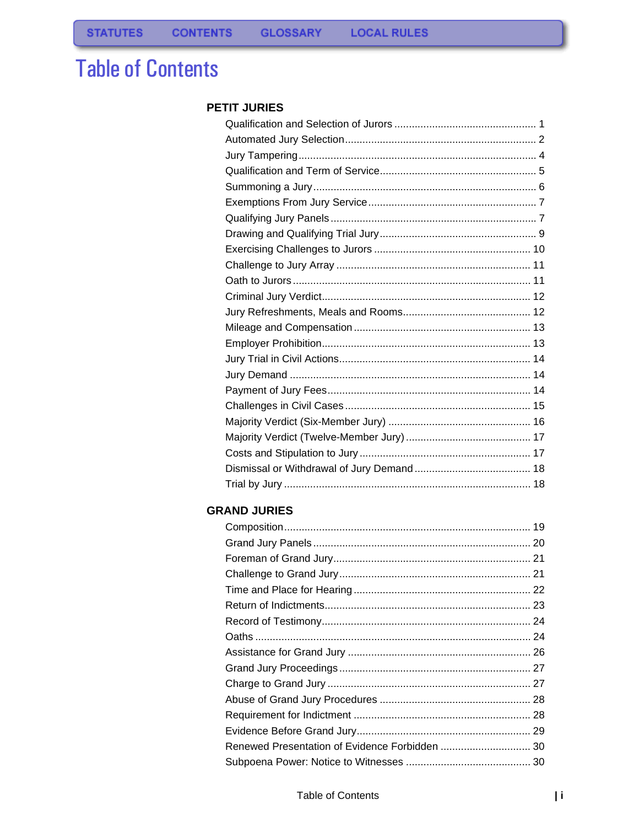# **Table of Contents**

#### **PETIT JURIES**

#### **GRAND JURIES**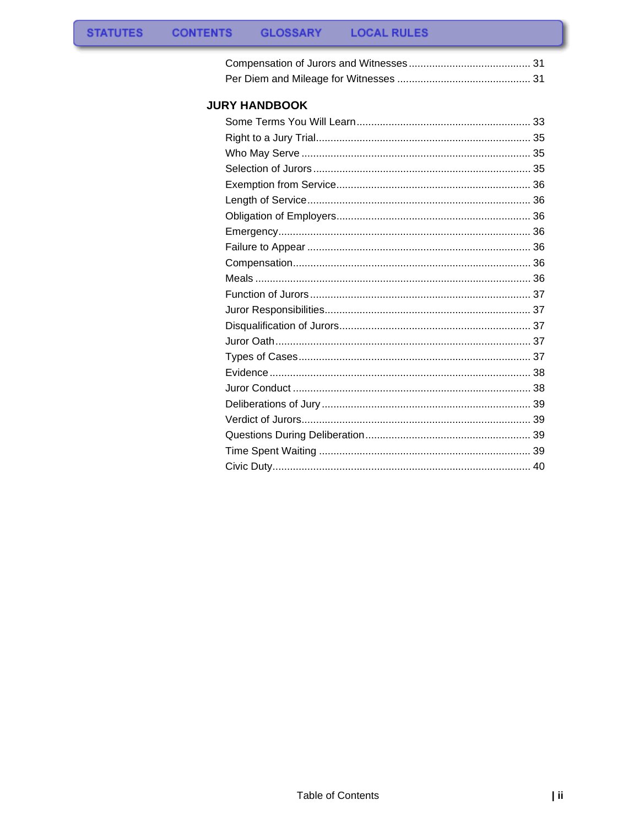#### **JURY HANDBOOK**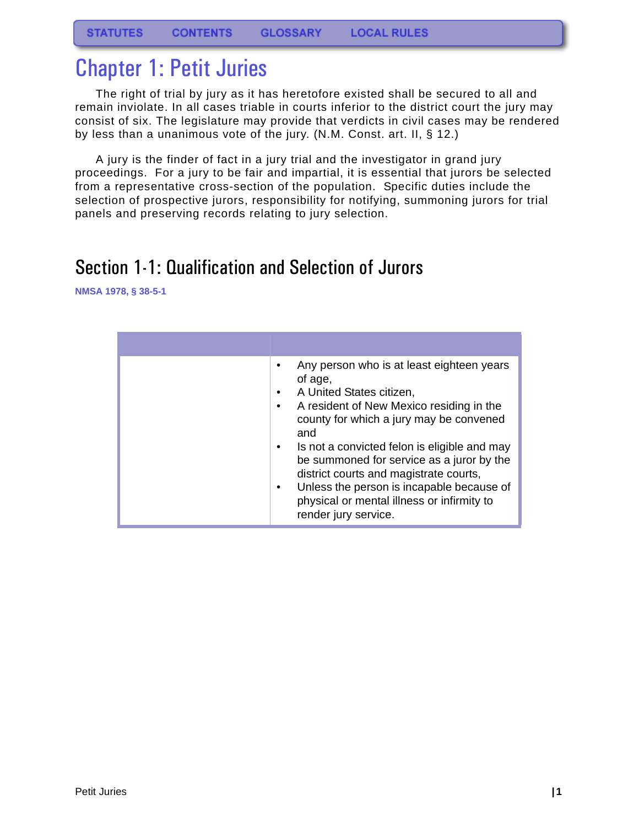# <span id="page-2-0"></span>Chapter 1: Petit Juries

The right of trial by jury as it has heretofore existed shall be secured to all and remain inviolate. In all cases triable in courts inferior to the district court the jury may consist of six. The legislature may provide that verdicts in civil cases may be rendered by less than a unanimous vote of the jury. (N.M. Const. art. II, § 12.)

A jury is the finder of fact in a jury trial and the investigator in grand jury proceedings. For a jury to be fair and impartial, it is essential that jurors be selected from a representative cross-section of the population. Specific duties include the selection of prospective jurors, responsibility for notifying, summoning jurors for trial panels and preserving records relating to jury selection.

# <span id="page-2-1"></span>Section 1-1: Qualification and Selection of Jurors

| Any person who is at least eighteen years<br>of age,<br>A United States citizen,<br>٠<br>A resident of New Mexico residing in the<br>county for which a jury may be convened<br>and<br>Is not a convicted felon is eligible and may<br>٠<br>be summoned for service as a juror by the<br>district courts and magistrate courts,<br>Unless the person is incapable because of<br>$\bullet$<br>physical or mental illness or infirmity to<br>render jury service. |
|-----------------------------------------------------------------------------------------------------------------------------------------------------------------------------------------------------------------------------------------------------------------------------------------------------------------------------------------------------------------------------------------------------------------------------------------------------------------|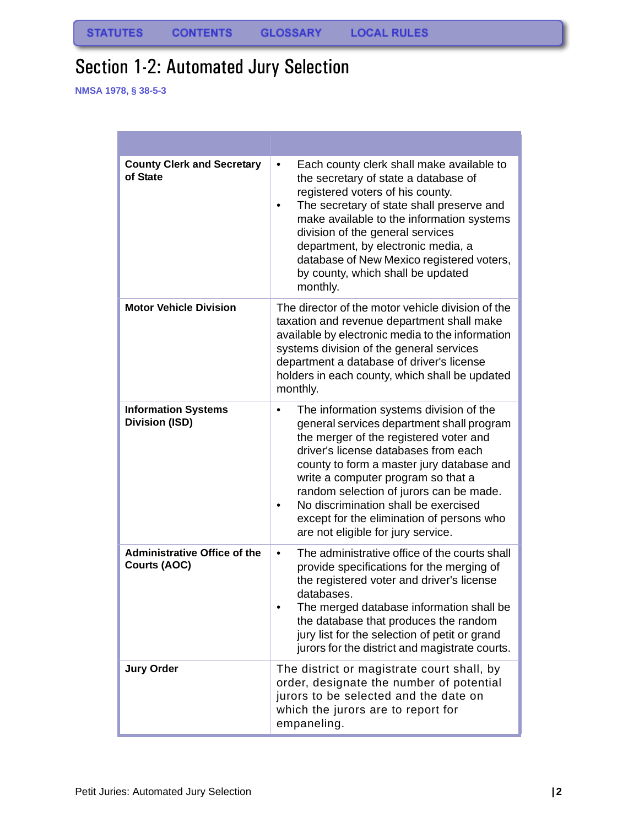# <span id="page-3-0"></span>Section 1-2: Automated Jury Selection

| <b>County Clerk and Secretary</b><br>of State       | Each county clerk shall make available to<br>٠<br>the secretary of state a database of<br>registered voters of his county.<br>The secretary of state shall preserve and<br>٠<br>make available to the information systems<br>division of the general services<br>department, by electronic media, a<br>database of New Mexico registered voters,<br>by county, which shall be updated<br>monthly.                                            |
|-----------------------------------------------------|----------------------------------------------------------------------------------------------------------------------------------------------------------------------------------------------------------------------------------------------------------------------------------------------------------------------------------------------------------------------------------------------------------------------------------------------|
| <b>Motor Vehicle Division</b>                       | The director of the motor vehicle division of the<br>taxation and revenue department shall make<br>available by electronic media to the information<br>systems division of the general services<br>department a database of driver's license<br>holders in each county, which shall be updated<br>monthly.                                                                                                                                   |
| <b>Information Systems</b><br><b>Division (ISD)</b> | The information systems division of the<br>$\bullet$<br>general services department shall program<br>the merger of the registered voter and<br>driver's license databases from each<br>county to form a master jury database and<br>write a computer program so that a<br>random selection of jurors can be made.<br>No discrimination shall be exercised<br>except for the elimination of persons who<br>are not eligible for jury service. |
| <b>Administrative Office of the</b><br>Courts (AOC) | The administrative office of the courts shall<br>٠<br>provide specifications for the merging of<br>the registered voter and driver's license<br>databases.<br>The merged database information shall be<br>the database that produces the random<br>jury list for the selection of petit or grand<br>jurors for the district and magistrate courts.                                                                                           |
| <b>Jury Order</b>                                   | The district or magistrate court shall, by<br>order, designate the number of potential<br>jurors to be selected and the date on<br>which the jurors are to report for<br>empaneling.                                                                                                                                                                                                                                                         |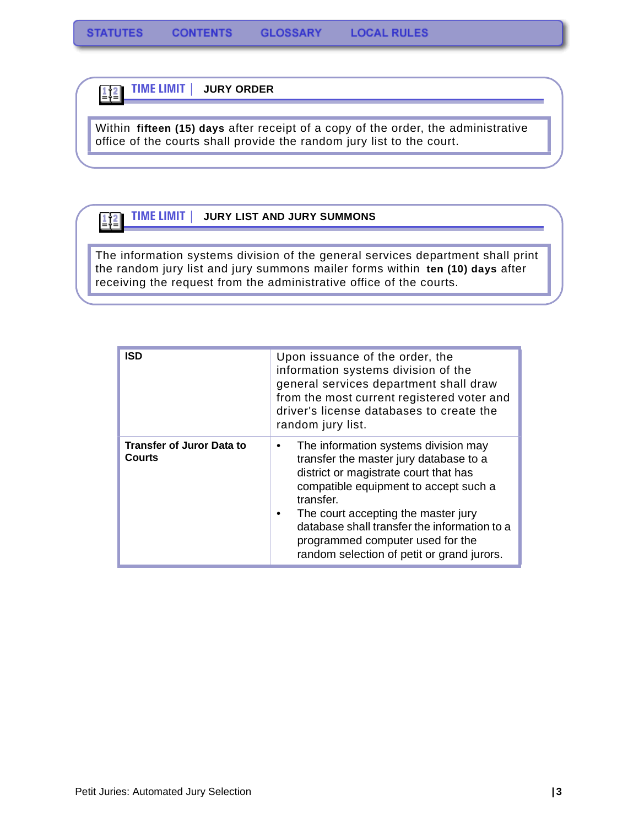**TIME LIMIT | JURY ORDER**

 $\frac{1}{2}$ 

 $\boxed{112}$ 

Within **fifteen (15) days** after receipt of a copy of the order, the administrative office of the courts shall provide the random jury list to the court.

#### **TIME LIMIT | JURY LIST AND JURY SUMMONS**

The information systems division of the general services department shall print the random jury list and jury summons mailer forms within **ten (10) days** after receiving the request from the administrative office of the courts.

| <b>ISD</b>                                        | Upon issuance of the order, the<br>information systems division of the<br>general services department shall draw<br>from the most current registered voter and<br>driver's license databases to create the<br>random jury list.                                                                                                                                  |
|---------------------------------------------------|------------------------------------------------------------------------------------------------------------------------------------------------------------------------------------------------------------------------------------------------------------------------------------------------------------------------------------------------------------------|
| <b>Transfer of Juror Data to</b><br><b>Courts</b> | The information systems division may<br>٠<br>transfer the master jury database to a<br>district or magistrate court that has<br>compatible equipment to accept such a<br>transfer.<br>The court accepting the master jury<br>٠<br>database shall transfer the information to a<br>programmed computer used for the<br>random selection of petit or grand jurors. |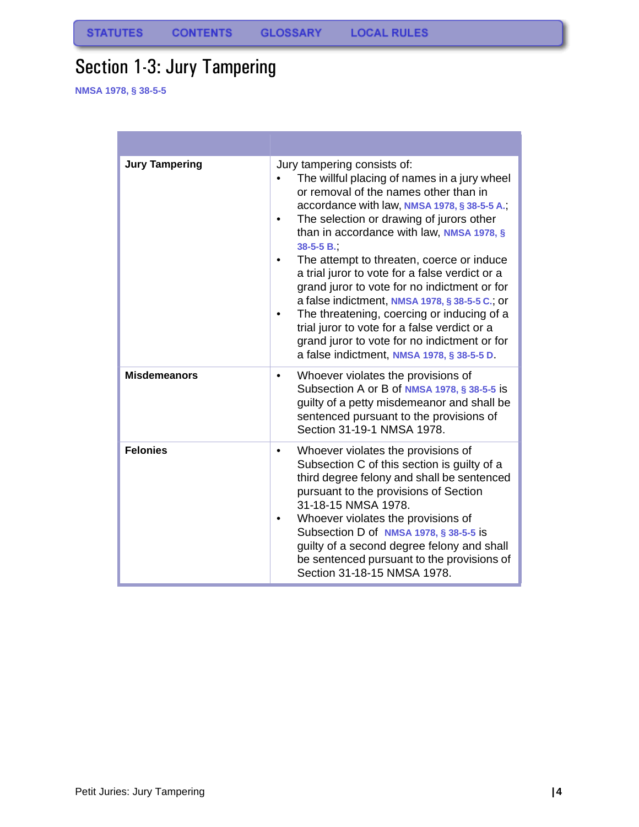# <span id="page-5-0"></span>Section 1-3: Jury Tampering

| <b>Jury Tampering</b> | Jury tampering consists of:<br>The willful placing of names in a jury wheel<br>or removal of the names other than in<br>accordance with law, NMSA 1978, § 38-5-5 A.;<br>The selection or drawing of jurors other<br>than in accordance with law, NMSA 1978, §<br>$38-5-5B$ .<br>The attempt to threaten, coerce or induce<br>a trial juror to vote for a false verdict or a<br>grand juror to vote for no indictment or for<br>a false indictment, NMSA 1978, § 38-5-5 C.; or<br>The threatening, coercing or inducing of a<br>trial juror to vote for a false verdict or a<br>grand juror to vote for no indictment or for<br>a false indictment, NMSA 1978, § 38-5-5 D. |
|-----------------------|---------------------------------------------------------------------------------------------------------------------------------------------------------------------------------------------------------------------------------------------------------------------------------------------------------------------------------------------------------------------------------------------------------------------------------------------------------------------------------------------------------------------------------------------------------------------------------------------------------------------------------------------------------------------------|
| <b>Misdemeanors</b>   | Whoever violates the provisions of<br>٠<br>Subsection A or B of NMSA 1978, § 38-5-5 is<br>guilty of a petty misdemeanor and shall be<br>sentenced pursuant to the provisions of<br>Section 31-19-1 NMSA 1978.                                                                                                                                                                                                                                                                                                                                                                                                                                                             |
| <b>Felonies</b>       | Whoever violates the provisions of<br>Subsection C of this section is guilty of a<br>third degree felony and shall be sentenced<br>pursuant to the provisions of Section<br>31-18-15 NMSA 1978.<br>Whoever violates the provisions of<br>Subsection D of NMSA 1978, § 38-5-5 is<br>guilty of a second degree felony and shall<br>be sentenced pursuant to the provisions of<br>Section 31-18-15 NMSA 1978.                                                                                                                                                                                                                                                                |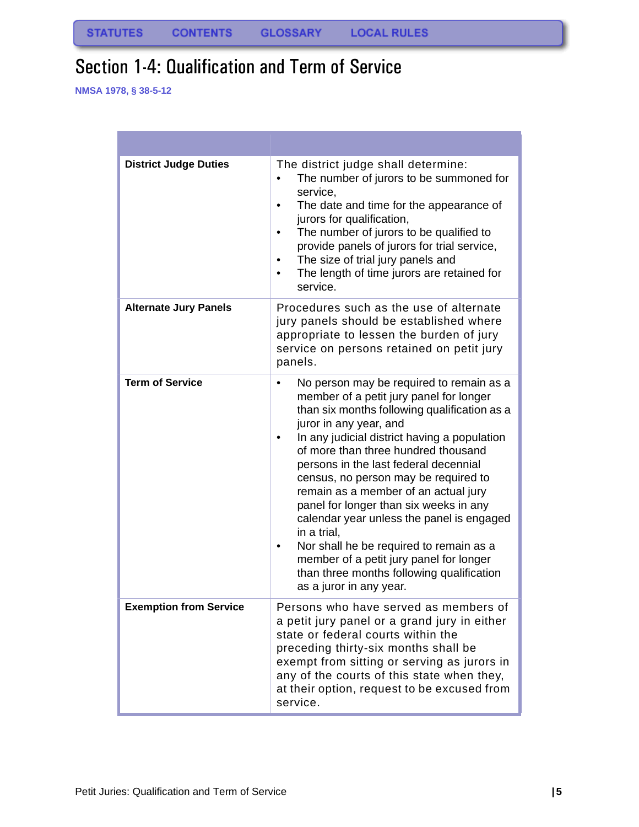# <span id="page-6-0"></span>Section 1-4: Qualification and Term of Service

| <b>District Judge Duties</b>  | The district judge shall determine:<br>The number of jurors to be summoned for<br>service,<br>The date and time for the appearance of<br>jurors for qualification,<br>The number of jurors to be qualified to<br>provide panels of jurors for trial service,<br>The size of trial jury panels and<br>The length of time jurors are retained for<br>service.                                                                                                                                                                                                                                                                                                      |
|-------------------------------|------------------------------------------------------------------------------------------------------------------------------------------------------------------------------------------------------------------------------------------------------------------------------------------------------------------------------------------------------------------------------------------------------------------------------------------------------------------------------------------------------------------------------------------------------------------------------------------------------------------------------------------------------------------|
| <b>Alternate Jury Panels</b>  | Procedures such as the use of alternate<br>jury panels should be established where<br>appropriate to lessen the burden of jury<br>service on persons retained on petit jury<br>panels.                                                                                                                                                                                                                                                                                                                                                                                                                                                                           |
| <b>Term of Service</b>        | No person may be required to remain as a<br>٠<br>member of a petit jury panel for longer<br>than six months following qualification as a<br>juror in any year, and<br>In any judicial district having a population<br>٠<br>of more than three hundred thousand<br>persons in the last federal decennial<br>census, no person may be required to<br>remain as a member of an actual jury<br>panel for longer than six weeks in any<br>calendar year unless the panel is engaged<br>in a trial,<br>Nor shall he be required to remain as a<br>٠<br>member of a petit jury panel for longer<br>than three months following qualification<br>as a juror in any year. |
| <b>Exemption from Service</b> | Persons who have served as members of<br>a petit jury panel or a grand jury in either<br>state or federal courts within the<br>preceding thirty-six months shall be<br>exempt from sitting or serving as jurors in<br>any of the courts of this state when they,<br>at their option, request to be excused from<br>service.                                                                                                                                                                                                                                                                                                                                      |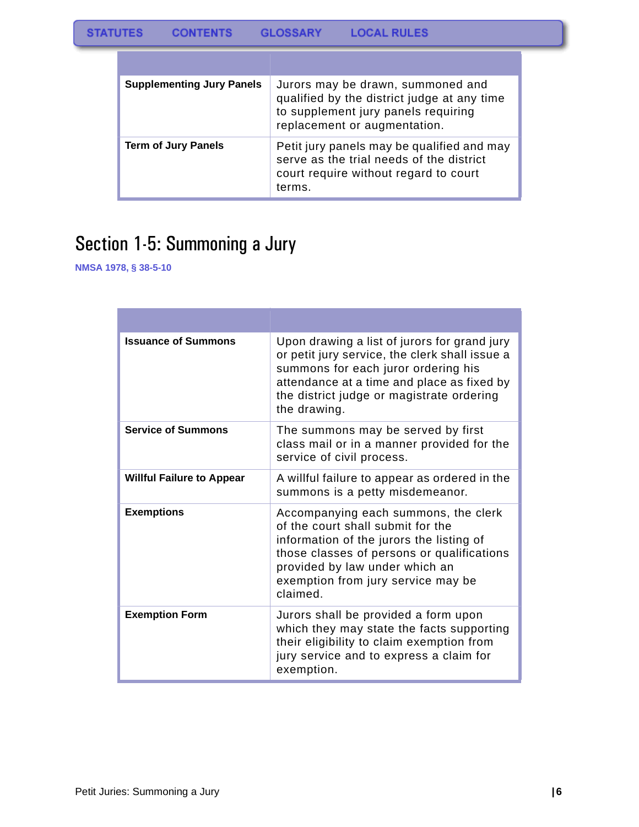| <b>Supplementing Jury Panels</b> | Jurors may be drawn, summoned and<br>qualified by the district judge at any time<br>to supplement jury panels requiring<br>replacement or augmentation. |
|----------------------------------|---------------------------------------------------------------------------------------------------------------------------------------------------------|
| <b>Term of Jury Panels</b>       | Petit jury panels may be qualified and may<br>serve as the trial needs of the district<br>court require without regard to court<br>terms.               |

# <span id="page-7-0"></span>Section 1-5: Summoning a Jury

| <b>Issuance of Summons</b>       | Upon drawing a list of jurors for grand jury<br>or petit jury service, the clerk shall issue a<br>summons for each juror ordering his<br>attendance at a time and place as fixed by<br>the district judge or magistrate ordering<br>the drawing.        |
|----------------------------------|---------------------------------------------------------------------------------------------------------------------------------------------------------------------------------------------------------------------------------------------------------|
| <b>Service of Summons</b>        | The summons may be served by first<br>class mail or in a manner provided for the<br>service of civil process.                                                                                                                                           |
| <b>Willful Failure to Appear</b> | A willful failure to appear as ordered in the<br>summons is a petty misdemeanor.                                                                                                                                                                        |
| <b>Exemptions</b>                | Accompanying each summons, the clerk<br>of the court shall submit for the<br>information of the jurors the listing of<br>those classes of persons or qualifications<br>provided by law under which an<br>exemption from jury service may be<br>claimed. |
| <b>Exemption Form</b>            | Jurors shall be provided a form upon<br>which they may state the facts supporting<br>their eligibility to claim exemption from<br>jury service and to express a claim for<br>exemption.                                                                 |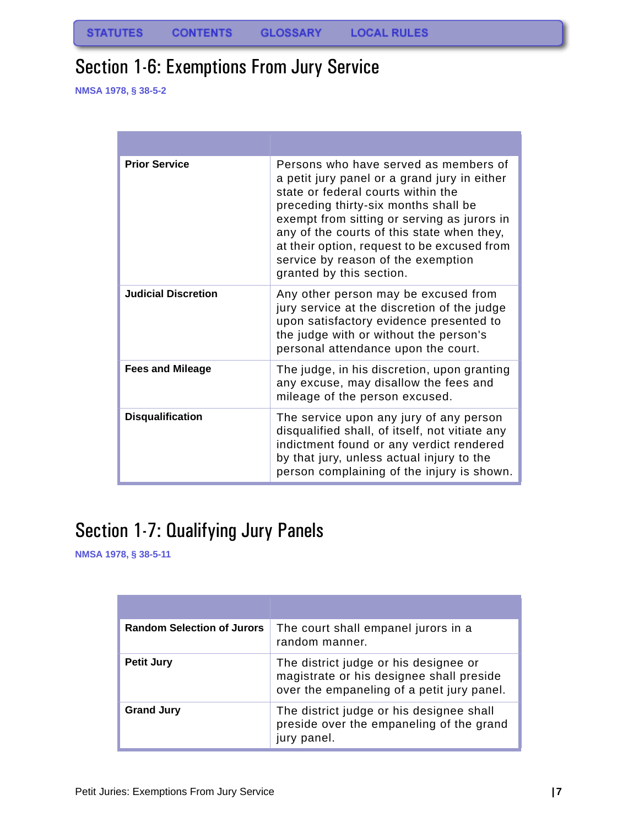# <span id="page-8-0"></span>Section 1-6: Exemptions From Jury Service

**NMSA 1978, § 38-5-2**

| <b>Prior Service</b>       | Persons who have served as members of<br>a petit jury panel or a grand jury in either<br>state or federal courts within the<br>preceding thirty-six months shall be<br>exempt from sitting or serving as jurors in<br>any of the courts of this state when they,<br>at their option, request to be excused from<br>service by reason of the exemption<br>granted by this section. |
|----------------------------|-----------------------------------------------------------------------------------------------------------------------------------------------------------------------------------------------------------------------------------------------------------------------------------------------------------------------------------------------------------------------------------|
| <b>Judicial Discretion</b> | Any other person may be excused from<br>jury service at the discretion of the judge<br>upon satisfactory evidence presented to<br>the judge with or without the person's<br>personal attendance upon the court.                                                                                                                                                                   |
| <b>Fees and Mileage</b>    | The judge, in his discretion, upon granting<br>any excuse, may disallow the fees and<br>mileage of the person excused.                                                                                                                                                                                                                                                            |
| <b>Disqualification</b>    | The service upon any jury of any person<br>disqualified shall, of itself, not vitiate any<br>indictment found or any verdict rendered<br>by that jury, unless actual injury to the<br>person complaining of the injury is shown.                                                                                                                                                  |

# <span id="page-8-1"></span>Section 1-7: Qualifying Jury Panels

| <b>Random Selection of Jurors</b> | The court shall empanel jurors in a<br>random manner.                                                                           |
|-----------------------------------|---------------------------------------------------------------------------------------------------------------------------------|
| <b>Petit Jury</b>                 | The district judge or his designee or<br>magistrate or his designee shall preside<br>over the empaneling of a petit jury panel. |
| <b>Grand Jury</b>                 | The district judge or his designee shall<br>preside over the empaneling of the grand<br>jury panel.                             |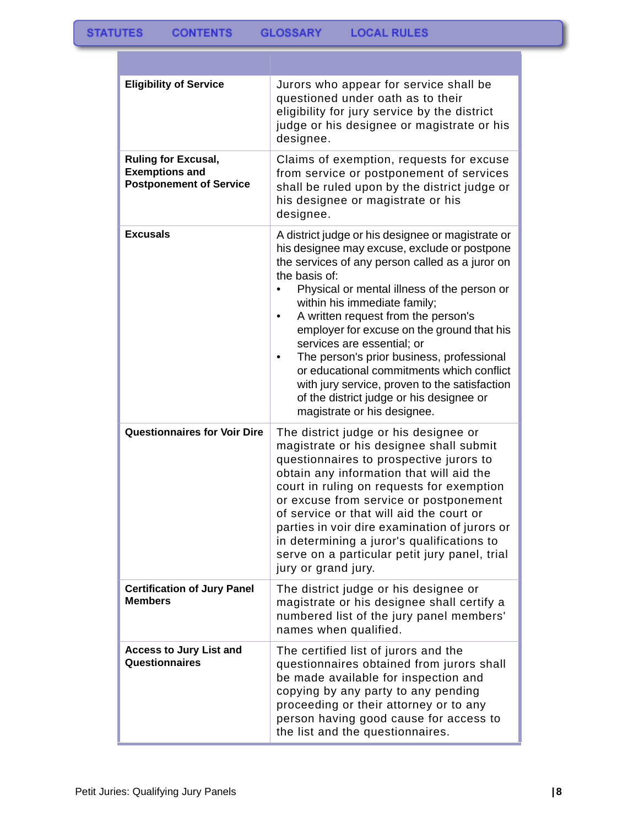| <b>Eligibility of Service</b>                                                         | Jurors who appear for service shall be<br>questioned under oath as to their<br>eligibility for jury service by the district<br>judge or his designee or magistrate or his<br>designee.                                                                                                                                                                                                                                                                                                                                                                                                                     |
|---------------------------------------------------------------------------------------|------------------------------------------------------------------------------------------------------------------------------------------------------------------------------------------------------------------------------------------------------------------------------------------------------------------------------------------------------------------------------------------------------------------------------------------------------------------------------------------------------------------------------------------------------------------------------------------------------------|
| <b>Ruling for Excusal,</b><br><b>Exemptions and</b><br><b>Postponement of Service</b> | Claims of exemption, requests for excuse<br>from service or postponement of services<br>shall be ruled upon by the district judge or<br>his designee or magistrate or his<br>designee.                                                                                                                                                                                                                                                                                                                                                                                                                     |
| <b>Excusals</b>                                                                       | A district judge or his designee or magistrate or<br>his designee may excuse, exclude or postpone<br>the services of any person called as a juror on<br>the basis of:<br>Physical or mental illness of the person or<br>$\bullet$<br>within his immediate family;<br>A written request from the person's<br>employer for excuse on the ground that his<br>services are essential; or<br>The person's prior business, professional<br>or educational commitments which conflict<br>with jury service, proven to the satisfaction<br>of the district judge or his designee or<br>magistrate or his designee. |
| <b>Questionnaires for Voir Dire</b>                                                   | The district judge or his designee or<br>magistrate or his designee shall submit<br>questionnaires to prospective jurors to<br>obtain any information that will aid the<br>court in ruling on requests for exemption<br>or excuse from service or postponement<br>of service or that will aid the court or<br>parties in voir dire examination of jurors or<br>in determining a juror's qualifications to<br>serve on a particular petit jury panel, trial<br>jury or grand jury.                                                                                                                          |
| <b>Certification of Jury Panel</b><br><b>Members</b>                                  | The district judge or his designee or<br>magistrate or his designee shall certify a<br>numbered list of the jury panel members'<br>names when qualified.                                                                                                                                                                                                                                                                                                                                                                                                                                                   |
| <b>Access to Jury List and</b><br>Questionnaires                                      | The certified list of jurors and the<br>questionnaires obtained from jurors shall<br>be made available for inspection and<br>copying by any party to any pending<br>proceeding or their attorney or to any<br>person having good cause for access to<br>the list and the questionnaires.                                                                                                                                                                                                                                                                                                                   |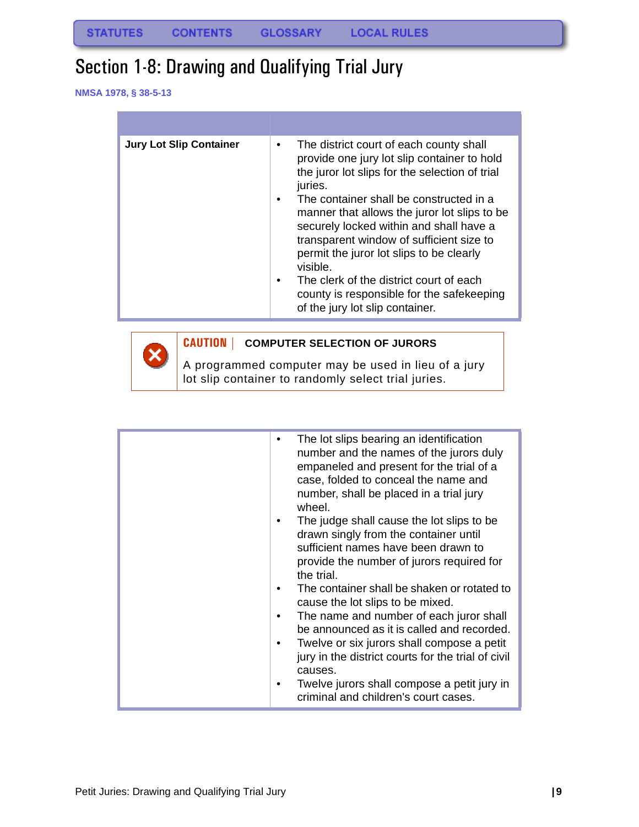# <span id="page-10-0"></span>Section 1-8: Drawing and Qualifying Trial Jury

**NMSA 1978, § 38-5-13**

 $\boldsymbol{\mathsf{x}}$ 

| <b>Jury Lot Slip Container</b> | The district court of each county shall<br>$\bullet$<br>provide one jury lot slip container to hold<br>the juror lot slips for the selection of trial<br>juries.<br>The container shall be constructed in a<br>$\bullet$<br>manner that allows the juror lot slips to be<br>securely locked within and shall have a<br>transparent window of sufficient size to<br>permit the juror lot slips to be clearly<br>visible.<br>The clerk of the district court of each<br>$\bullet$<br>county is responsible for the safekeeping<br>of the jury lot slip container. |
|--------------------------------|-----------------------------------------------------------------------------------------------------------------------------------------------------------------------------------------------------------------------------------------------------------------------------------------------------------------------------------------------------------------------------------------------------------------------------------------------------------------------------------------------------------------------------------------------------------------|
|                                |                                                                                                                                                                                                                                                                                                                                                                                                                                                                                                                                                                 |



A programmed computer may be used in lieu of a jury lot slip container to randomly select trial juries.

| The lot slips bearing an identification<br>number and the names of the jurors duly<br>empaneled and present for the trial of a<br>case, folded to conceal the name and<br>number, shall be placed in a trial jury<br>wheel.<br>The judge shall cause the lot slips to be<br>drawn singly from the container until<br>sufficient names have been drawn to<br>provide the number of jurors required for<br>the trial.<br>The container shall be shaken or rotated to<br>cause the lot slips to be mixed.<br>The name and number of each juror shall<br>be announced as it is called and recorded.<br>Twelve or six jurors shall compose a petit<br>jury in the district courts for the trial of civil<br>causes. |
|----------------------------------------------------------------------------------------------------------------------------------------------------------------------------------------------------------------------------------------------------------------------------------------------------------------------------------------------------------------------------------------------------------------------------------------------------------------------------------------------------------------------------------------------------------------------------------------------------------------------------------------------------------------------------------------------------------------|
| Twelve jurors shall compose a petit jury in<br>criminal and children's court cases.                                                                                                                                                                                                                                                                                                                                                                                                                                                                                                                                                                                                                            |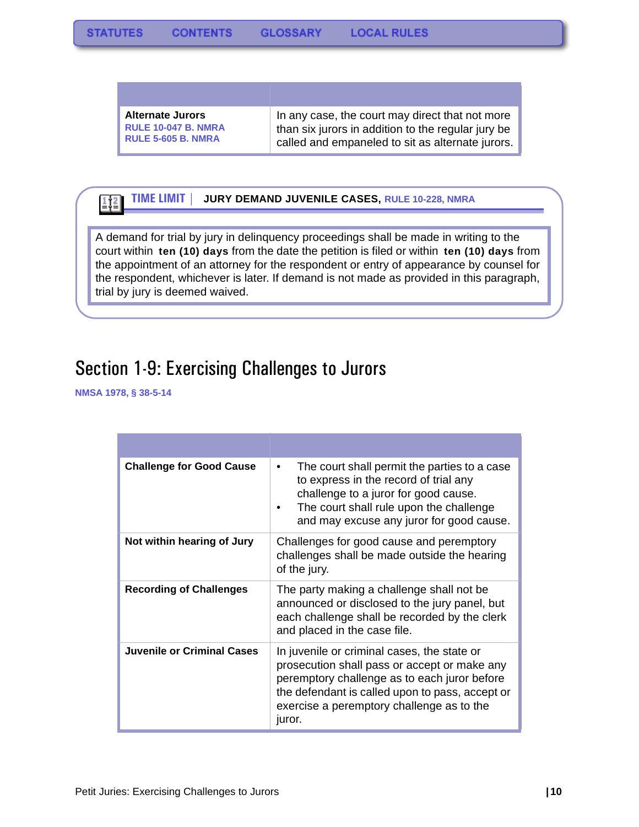| <b>Alternate Jurors</b>    | In any case, the court may direct that not more    |
|----------------------------|----------------------------------------------------|
| <b>RULE 10-047 B. NMRA</b> | than six jurors in addition to the regular jury be |
| <b>RULE 5-605 B. NMRA</b>  | called and empaneled to sit as alternate jurors.   |

#### **TIME LIMIT | JURY DEMAND JUVENILE CASES, RULE 10-228, NMRA**  $\frac{1}{2}$   $\frac{2}{2}$

A demand for trial by jury in delinquency proceedings shall be made in writing to the court within **ten (10) days** from the date the petition is filed or within **ten (10) days** from the appointment of an attorney for the respondent or entry of appearance by counsel for the respondent, whichever is later. If demand is not made as provided in this paragraph, trial by jury is deemed waived.

### <span id="page-11-0"></span>Section 1-9: Exercising Challenges to Jurors

| <b>Challenge for Good Cause</b> | The court shall permit the parties to a case<br>$\bullet$<br>to express in the record of trial any<br>challenge to a juror for good cause.<br>The court shall rule upon the challenge<br>and may excuse any juror for good cause.                     |
|---------------------------------|-------------------------------------------------------------------------------------------------------------------------------------------------------------------------------------------------------------------------------------------------------|
| Not within hearing of Jury      | Challenges for good cause and peremptory<br>challenges shall be made outside the hearing<br>of the jury.                                                                                                                                              |
| <b>Recording of Challenges</b>  | The party making a challenge shall not be<br>announced or disclosed to the jury panel, but<br>each challenge shall be recorded by the clerk<br>and placed in the case file.                                                                           |
| Juvenile or Criminal Cases      | In juvenile or criminal cases, the state or<br>prosecution shall pass or accept or make any<br>peremptory challenge as to each juror before<br>the defendant is called upon to pass, accept or<br>exercise a peremptory challenge as to the<br>juror. |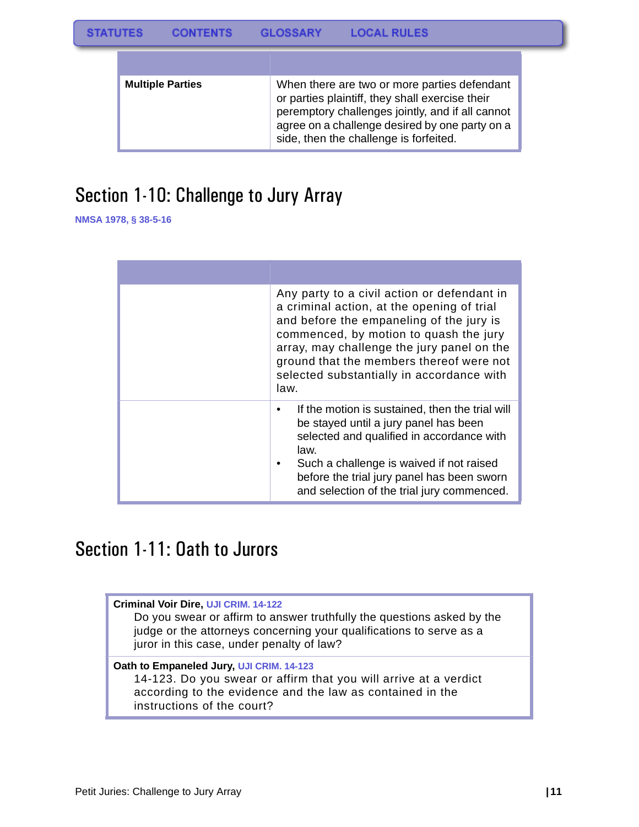| <b>Multiple Parties</b> | When there are two or more parties defendant<br>or parties plaintiff, they shall exercise their<br>peremptory challenges jointly, and if all cannot<br>agree on a challenge desired by one party on a<br>side, then the challenge is forfeited. |
|-------------------------|-------------------------------------------------------------------------------------------------------------------------------------------------------------------------------------------------------------------------------------------------|

# <span id="page-12-0"></span>Section 1-10: Challenge to Jury Array

**NMSA 1978, § 38-5-16**

| Any party to a civil action or defendant in<br>a criminal action, at the opening of trial<br>and before the empaneling of the jury is<br>commenced, by motion to quash the jury<br>array, may challenge the jury panel on the<br>ground that the members thereof were not<br>selected substantially in accordance with<br>law. |
|--------------------------------------------------------------------------------------------------------------------------------------------------------------------------------------------------------------------------------------------------------------------------------------------------------------------------------|
| If the motion is sustained, then the trial will<br>be stayed until a jury panel has been<br>selected and qualified in accordance with<br>law.<br>Such a challenge is waived if not raised<br>before the trial jury panel has been sworn<br>and selection of the trial jury commenced.                                          |

### <span id="page-12-1"></span>Section 1-11: Oath to Jurors

**Criminal Voir Dire, UJI CRIM. 14-122** Do you swear or affirm to answer truthfully the questions asked by the judge or the attorneys concerning your qualifications to serve as a juror in this case, under penalty of law? **Oath to Empaneled Jury, UJI CRIM. 14-123** 14-123. Do you swear or affirm that you will arrive at a verdict according to the evidence and the law as contained in the instructions of the court?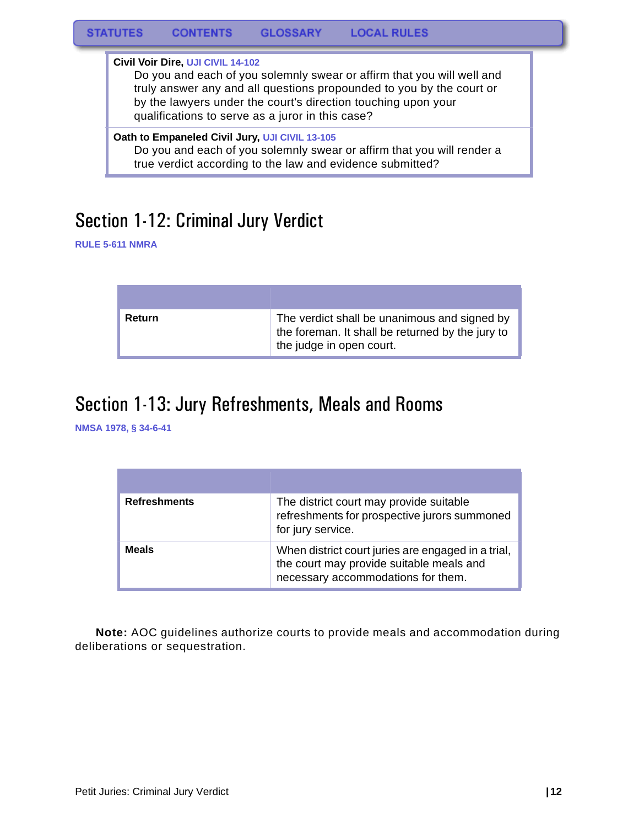**Civil Voir Dire, UJI CIVIL 14-102**

Do you and each of you solemnly swear or affirm that you will well and truly answer any and all questions propounded to you by the court or by the lawyers under the court's direction touching upon your qualifications to serve as a juror in this case?

#### **Oath to Empaneled Civil Jury, UJI CIVIL 13-105**

Do you and each of you solemnly swear or affirm that you will render a true verdict according to the law and evidence submitted?

### <span id="page-13-0"></span>Section 1-12: Criminal Jury Verdict

**RULE 5-611 NMRA**

| Return | The verdict shall be unanimous and signed by<br>the foreman. It shall be returned by the jury to<br>the judge in open court. |
|--------|------------------------------------------------------------------------------------------------------------------------------|

### <span id="page-13-1"></span>Section 1-13: Jury Refreshments, Meals and Rooms

**NMSA 1978, § 34-6-41**

| <b>Refreshments</b> | The district court may provide suitable<br>refreshments for prospective jurors summoned<br>for jury service.                         |
|---------------------|--------------------------------------------------------------------------------------------------------------------------------------|
| <b>Meals</b>        | When district court juries are engaged in a trial,<br>the court may provide suitable meals and<br>necessary accommodations for them. |

**Note:** AOC guidelines authorize courts to provide meals and accommodation during deliberations or sequestration.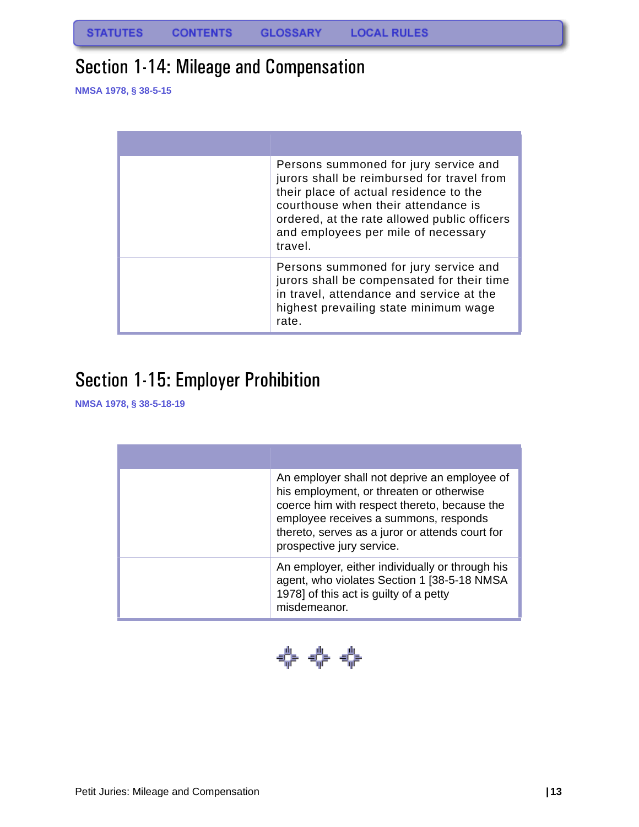# <span id="page-14-0"></span>Section 1-14: Mileage and Compensation

**NMSA 1978, § 38-5-15**

| Persons summoned for jury service and<br>jurors shall be reimbursed for travel from<br>their place of actual residence to the<br>courthouse when their attendance is<br>ordered, at the rate allowed public officers<br>and employees per mile of necessary<br>travel. |
|------------------------------------------------------------------------------------------------------------------------------------------------------------------------------------------------------------------------------------------------------------------------|
| Persons summoned for jury service and<br>jurors shall be compensated for their time<br>in travel, attendance and service at the<br>highest prevailing state minimum wage<br>rate.                                                                                      |

# <span id="page-14-1"></span>Section 1-15: Employer Prohibition

| An employer shall not deprive an employee of<br>his employment, or threaten or otherwise<br>coerce him with respect thereto, because the<br>employee receives a summons, responds<br>thereto, serves as a juror or attends court for<br>prospective jury service. |
|-------------------------------------------------------------------------------------------------------------------------------------------------------------------------------------------------------------------------------------------------------------------|
| An employer, either individually or through his<br>agent, who violates Section 1 [38-5-18 NMSA<br>1978] of this act is guilty of a petty<br>misdemeanor.                                                                                                          |

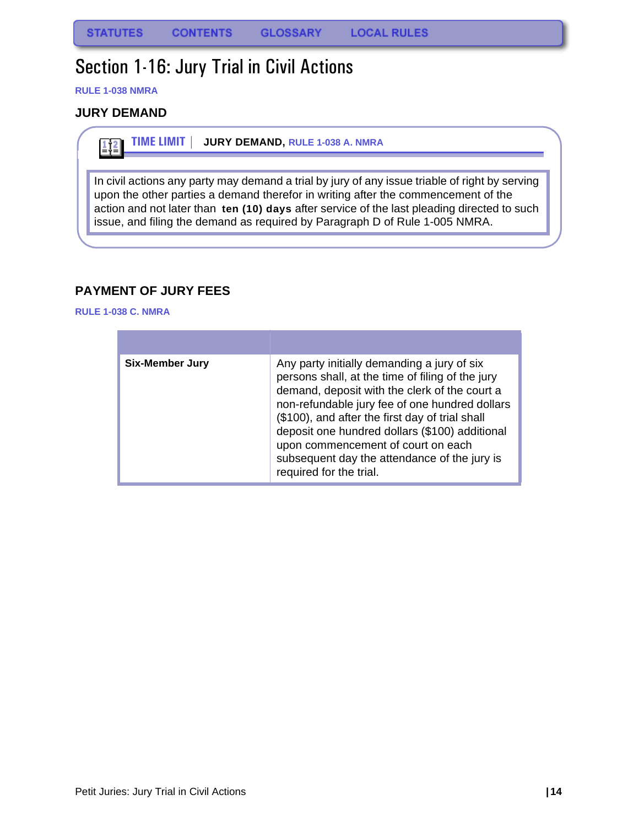## <span id="page-15-0"></span>Section 1-16: Jury Trial in Civil Actions

**RULE 1-038 NMRA**

#### <span id="page-15-1"></span>**JURY DEMAND**

 $\frac{1}{2}$ 

**TIME LIMIT | JURY DEMAND, RULE 1-038 A. NMRA**

In civil actions any party may demand a trial by jury of any issue triable of right by serving upon the other parties a demand therefor in writing after the commencement of the action and not later than **ten (10) days** after service of the last pleading directed to such issue, and filing the demand as required by Paragraph D of Rule 1-005 NMRA.

#### <span id="page-15-2"></span>**PAYMENT OF JURY FEES**

**RULE 1-038 C. NMRA**

| <b>Six-Member Jury</b> | Any party initially demanding a jury of six<br>persons shall, at the time of filing of the jury<br>demand, deposit with the clerk of the court a<br>non-refundable jury fee of one hundred dollars<br>(\$100), and after the first day of trial shall<br>deposit one hundred dollars (\$100) additional<br>upon commencement of court on each<br>subsequent day the attendance of the jury is<br>required for the trial. |
|------------------------|--------------------------------------------------------------------------------------------------------------------------------------------------------------------------------------------------------------------------------------------------------------------------------------------------------------------------------------------------------------------------------------------------------------------------|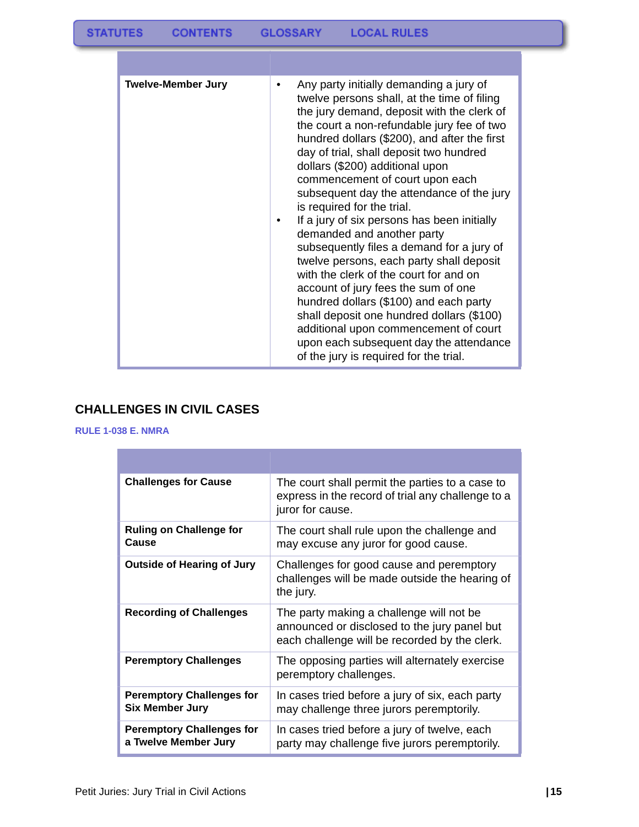| <b>Twelve-Member Jury</b> | Any party initially demanding a jury of<br>twelve persons shall, at the time of filing<br>the jury demand, deposit with the clerk of<br>the court a non-refundable jury fee of two<br>hundred dollars (\$200), and after the first<br>day of trial, shall deposit two hundred<br>dollars (\$200) additional upon<br>commencement of court upon each<br>subsequent day the attendance of the jury<br>is required for the trial.<br>If a jury of six persons has been initially<br>demanded and another party<br>subsequently files a demand for a jury of<br>twelve persons, each party shall deposit<br>with the clerk of the court for and on<br>account of jury fees the sum of one<br>hundred dollars (\$100) and each party<br>shall deposit one hundred dollars (\$100)<br>additional upon commencement of court<br>upon each subsequent day the attendance<br>of the jury is required for the trial. |
|---------------------------|------------------------------------------------------------------------------------------------------------------------------------------------------------------------------------------------------------------------------------------------------------------------------------------------------------------------------------------------------------------------------------------------------------------------------------------------------------------------------------------------------------------------------------------------------------------------------------------------------------------------------------------------------------------------------------------------------------------------------------------------------------------------------------------------------------------------------------------------------------------------------------------------------------|

### <span id="page-16-0"></span>**CHALLENGES IN CIVIL CASES**

#### **RULE 1-038 E. NMRA**  $\overline{\phantom{a}}$

| <b>Challenges for Cause</b>                                | The court shall permit the parties to a case to<br>express in the record of trial any challenge to a<br>juror for cause.                  |
|------------------------------------------------------------|-------------------------------------------------------------------------------------------------------------------------------------------|
| <b>Ruling on Challenge for</b><br>Cause                    | The court shall rule upon the challenge and<br>may excuse any juror for good cause.                                                       |
| <b>Outside of Hearing of Jury</b>                          | Challenges for good cause and peremptory<br>challenges will be made outside the hearing of<br>the jury.                                   |
| <b>Recording of Challenges</b>                             | The party making a challenge will not be<br>announced or disclosed to the jury panel but<br>each challenge will be recorded by the clerk. |
| <b>Peremptory Challenges</b>                               | The opposing parties will alternately exercise<br>peremptory challenges.                                                                  |
| <b>Peremptory Challenges for</b><br><b>Six Member Jury</b> | In cases tried before a jury of six, each party<br>may challenge three jurors peremptorily.                                               |
| <b>Peremptory Challenges for</b><br>a Twelve Member Jury   | In cases tried before a jury of twelve, each<br>party may challenge five jurors peremptorily.                                             |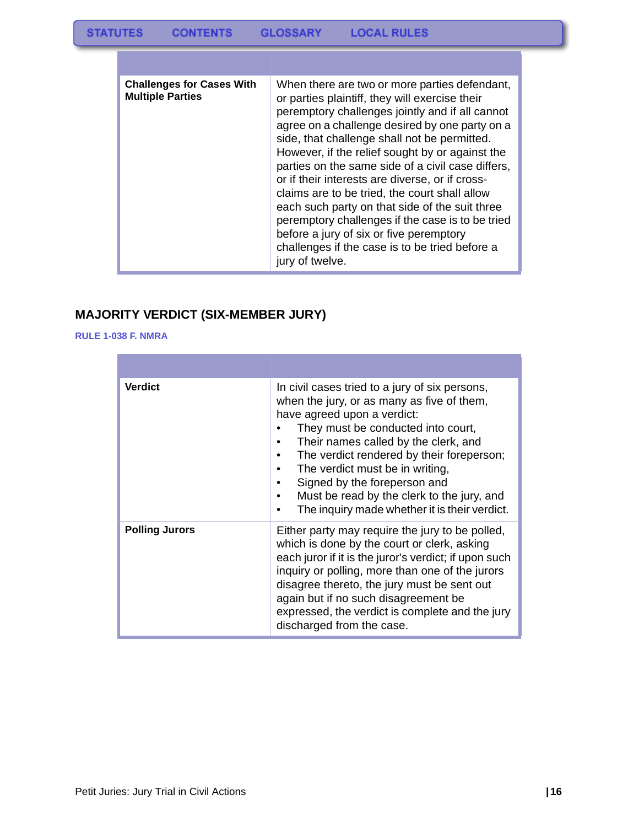| <b>Challenges for Cases With</b><br><b>Multiple Parties</b> | When there are two or more parties defendant,<br>or parties plaintiff, they will exercise their<br>peremptory challenges jointly and if all cannot<br>agree on a challenge desired by one party on a<br>side, that challenge shall not be permitted.<br>However, if the relief sought by or against the<br>parties on the same side of a civil case differs,<br>or if their interests are diverse, or if cross-<br>claims are to be tried, the court shall allow<br>each such party on that side of the suit three<br>peremptory challenges if the case is to be tried<br>before a jury of six or five peremptory<br>challenges if the case is to be tried before a<br>jury of twelve. |
|-------------------------------------------------------------|----------------------------------------------------------------------------------------------------------------------------------------------------------------------------------------------------------------------------------------------------------------------------------------------------------------------------------------------------------------------------------------------------------------------------------------------------------------------------------------------------------------------------------------------------------------------------------------------------------------------------------------------------------------------------------------|

### <span id="page-17-0"></span>**MAJORITY VERDICT (SIX-MEMBER JURY)**

#### **RULE 1-038 F. NMRA**

| <b>Verdict</b>        | In civil cases tried to a jury of six persons,<br>when the jury, or as many as five of them,<br>have agreed upon a verdict:<br>They must be conducted into court,<br>Their names called by the clerk, and<br>The verdict rendered by their foreperson;<br>The verdict must be in writing,<br>Signed by the foreperson and<br>Must be read by the clerk to the jury, and<br>The inquiry made whether it is their verdict. |
|-----------------------|--------------------------------------------------------------------------------------------------------------------------------------------------------------------------------------------------------------------------------------------------------------------------------------------------------------------------------------------------------------------------------------------------------------------------|
| <b>Polling Jurors</b> | Either party may require the jury to be polled,<br>which is done by the court or clerk, asking<br>each juror if it is the juror's verdict; if upon such<br>inquiry or polling, more than one of the jurors<br>disagree thereto, the jury must be sent out<br>again but if no such disagreement be<br>expressed, the verdict is complete and the jury<br>discharged from the case.                                        |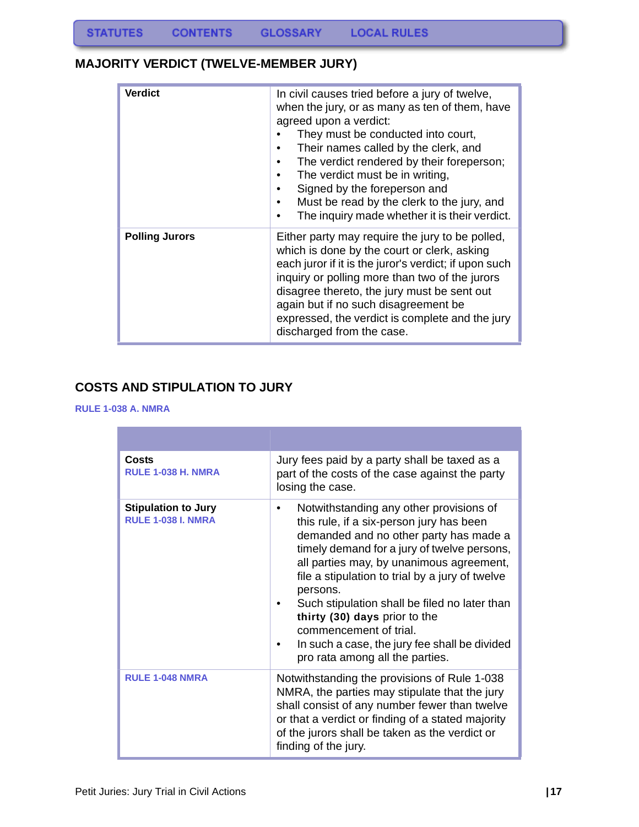#### <span id="page-18-0"></span>**MAJORITY VERDICT (TWELVE-MEMBER JURY)**

| <b>Verdict</b>        | In civil causes tried before a jury of twelve,<br>when the jury, or as many as ten of them, have<br>agreed upon a verdict:<br>They must be conducted into court,<br>Their names called by the clerk, and<br>The verdict rendered by their foreperson;<br>The verdict must be in writing,<br>Signed by the foreperson and<br>Must be read by the clerk to the jury, and<br>The inquiry made whether it is their verdict. |
|-----------------------|-------------------------------------------------------------------------------------------------------------------------------------------------------------------------------------------------------------------------------------------------------------------------------------------------------------------------------------------------------------------------------------------------------------------------|
| <b>Polling Jurors</b> | Either party may require the jury to be polled,<br>which is done by the court or clerk, asking<br>each juror if it is the juror's verdict; if upon such<br>inquiry or polling more than two of the jurors<br>disagree thereto, the jury must be sent out<br>again but if no such disagreement be<br>expressed, the verdict is complete and the jury<br>discharged from the case.                                        |

#### <span id="page-18-1"></span>**COSTS AND STIPULATION TO JURY**

#### **RULE 1-038 A. NMRA**

| Costs<br><b>RULE 1-038 H. NMRA</b>                      | Jury fees paid by a party shall be taxed as a<br>part of the costs of the case against the party<br>losing the case.                                                                                                                                                                                                                                                                                                                                                                    |
|---------------------------------------------------------|-----------------------------------------------------------------------------------------------------------------------------------------------------------------------------------------------------------------------------------------------------------------------------------------------------------------------------------------------------------------------------------------------------------------------------------------------------------------------------------------|
| <b>Stipulation to Jury</b><br><b>RULE 1-038 I. NMRA</b> | Notwithstanding any other provisions of<br>this rule, if a six-person jury has been<br>demanded and no other party has made a<br>timely demand for a jury of twelve persons,<br>all parties may, by unanimous agreement,<br>file a stipulation to trial by a jury of twelve<br>persons.<br>Such stipulation shall be filed no later than<br>thirty (30) days prior to the<br>commencement of trial.<br>In such a case, the jury fee shall be divided<br>pro rata among all the parties. |
| <b>RULE 1-048 NMRA</b>                                  | Notwithstanding the provisions of Rule 1-038<br>NMRA, the parties may stipulate that the jury<br>shall consist of any number fewer than twelve<br>or that a verdict or finding of a stated majority<br>of the jurors shall be taken as the verdict or<br>finding of the jury.                                                                                                                                                                                                           |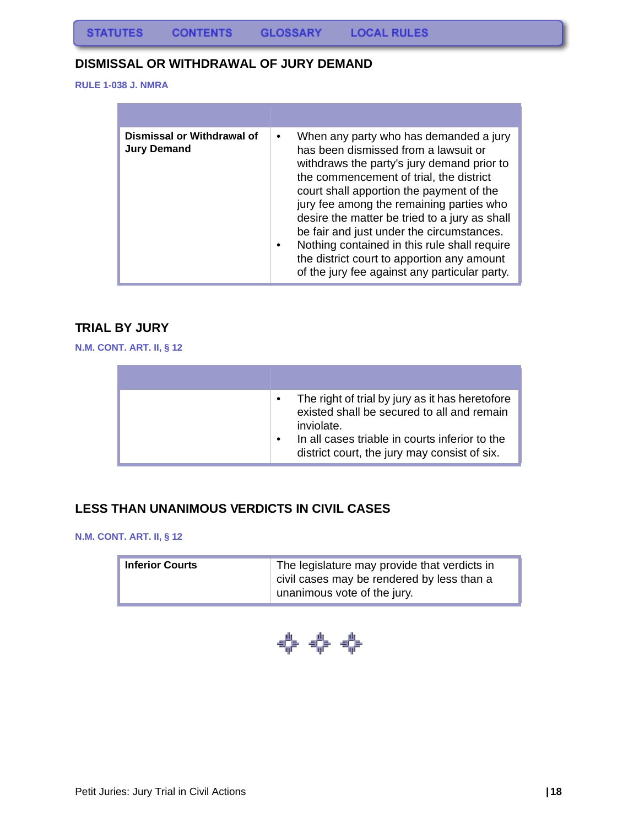#### <span id="page-19-0"></span>**DISMISSAL OR WITHDRAWAL OF JURY DEMAND**

**RULE 1-038 J. NMRA**

| Dismissal or Withdrawal of<br><b>Jury Demand</b> | When any party who has demanded a jury<br>has been dismissed from a lawsuit or<br>withdraws the party's jury demand prior to<br>the commencement of trial, the district<br>court shall apportion the payment of the<br>jury fee among the remaining parties who<br>desire the matter be tried to a jury as shall<br>be fair and just under the circumstances.<br>Nothing contained in this rule shall require<br>the district court to apportion any amount<br>of the jury fee against any particular party. |
|--------------------------------------------------|--------------------------------------------------------------------------------------------------------------------------------------------------------------------------------------------------------------------------------------------------------------------------------------------------------------------------------------------------------------------------------------------------------------------------------------------------------------------------------------------------------------|

#### <span id="page-19-1"></span>**TRIAL BY JURY**

**N.M. CONT. ART. II, § 12**

| The right of trial by jury as it has heretofore<br>existed shall be secured to all and remain<br>inviolate.<br>In all cases triable in courts inferior to the<br>district court, the jury may consist of six. |
|---------------------------------------------------------------------------------------------------------------------------------------------------------------------------------------------------------------|

#### **LESS THAN UNANIMOUS VERDICTS IN CIVIL CASES**

**N.M. CONT. ART. II, § 12**

| <b>Inferior Courts</b> | The legislature may provide that verdicts in<br>civil cases may be rendered by less than a |
|------------------------|--------------------------------------------------------------------------------------------|
|                        | unanimous vote of the jury.                                                                |

$$
\Leftrightarrow \Leftrightarrow \Leftrightarrow
$$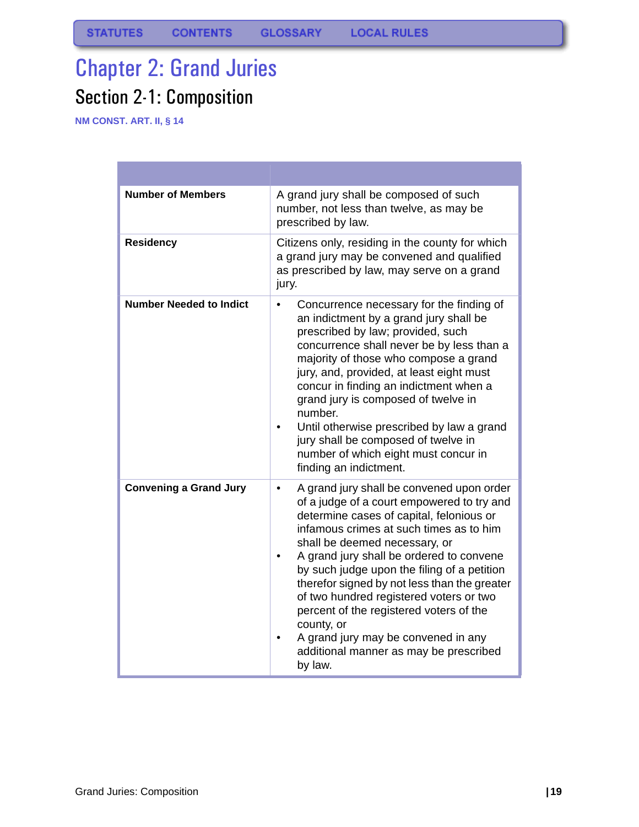# <span id="page-20-1"></span><span id="page-20-0"></span>Chapter 2: Grand Juries Section 2-1: Composition

**NM CONST. ART. II, § 14**

| <b>Number of Members</b>       | A grand jury shall be composed of such<br>number, not less than twelve, as may be<br>prescribed by law.                                                                                                                                                                                                                                                                                                                                                                                                                                                                 |
|--------------------------------|-------------------------------------------------------------------------------------------------------------------------------------------------------------------------------------------------------------------------------------------------------------------------------------------------------------------------------------------------------------------------------------------------------------------------------------------------------------------------------------------------------------------------------------------------------------------------|
| <b>Residency</b>               | Citizens only, residing in the county for which<br>a grand jury may be convened and qualified<br>as prescribed by law, may serve on a grand<br>jury.                                                                                                                                                                                                                                                                                                                                                                                                                    |
| <b>Number Needed to Indict</b> | Concurrence necessary for the finding of<br>$\bullet$<br>an indictment by a grand jury shall be<br>prescribed by law; provided, such<br>concurrence shall never be by less than a<br>majority of those who compose a grand<br>jury, and, provided, at least eight must<br>concur in finding an indictment when a<br>grand jury is composed of twelve in<br>number.<br>Until otherwise prescribed by law a grand<br>jury shall be composed of twelve in<br>number of which eight must concur in<br>finding an indictment.                                                |
| <b>Convening a Grand Jury</b>  | A grand jury shall be convened upon order<br>$\bullet$<br>of a judge of a court empowered to try and<br>determine cases of capital, felonious or<br>infamous crimes at such times as to him<br>shall be deemed necessary, or<br>A grand jury shall be ordered to convene<br>by such judge upon the filing of a petition<br>therefor signed by not less than the greater<br>of two hundred registered voters or two<br>percent of the registered voters of the<br>county, or<br>A grand jury may be convened in any<br>additional manner as may be prescribed<br>by law. |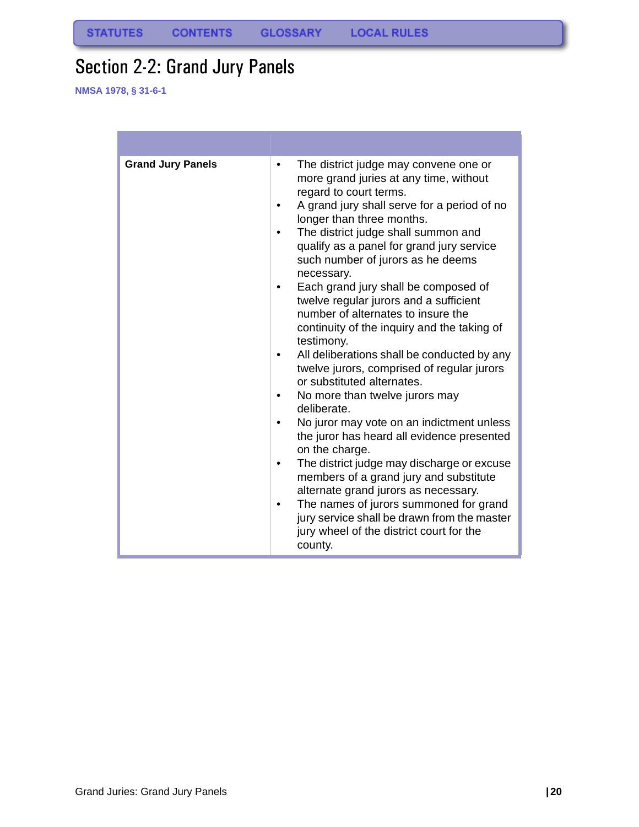# <span id="page-21-0"></span>Section 2-2: Grand Jury Panels

| <b>Grand Jury Panels</b> | The district judge may convene one or<br>more grand juries at any time, without<br>regard to court terms.<br>A grand jury shall serve for a period of no<br>longer than three months.<br>The district judge shall summon and<br>qualify as a panel for grand jury service<br>such number of jurors as he deems<br>necessary.<br>Each grand jury shall be composed of<br>twelve regular jurors and a sufficient<br>number of alternates to insure the<br>continuity of the inquiry and the taking of<br>testimony.<br>All deliberations shall be conducted by any<br>twelve jurors, comprised of regular jurors<br>or substituted alternates.<br>No more than twelve jurors may<br>deliberate.<br>No juror may vote on an indictment unless<br>the juror has heard all evidence presented<br>on the charge.<br>The district judge may discharge or excuse<br>members of a grand jury and substitute<br>alternate grand jurors as necessary.<br>The names of jurors summoned for grand<br>jury service shall be drawn from the master<br>jury wheel of the district court for the<br>county. |
|--------------------------|--------------------------------------------------------------------------------------------------------------------------------------------------------------------------------------------------------------------------------------------------------------------------------------------------------------------------------------------------------------------------------------------------------------------------------------------------------------------------------------------------------------------------------------------------------------------------------------------------------------------------------------------------------------------------------------------------------------------------------------------------------------------------------------------------------------------------------------------------------------------------------------------------------------------------------------------------------------------------------------------------------------------------------------------------------------------------------------------|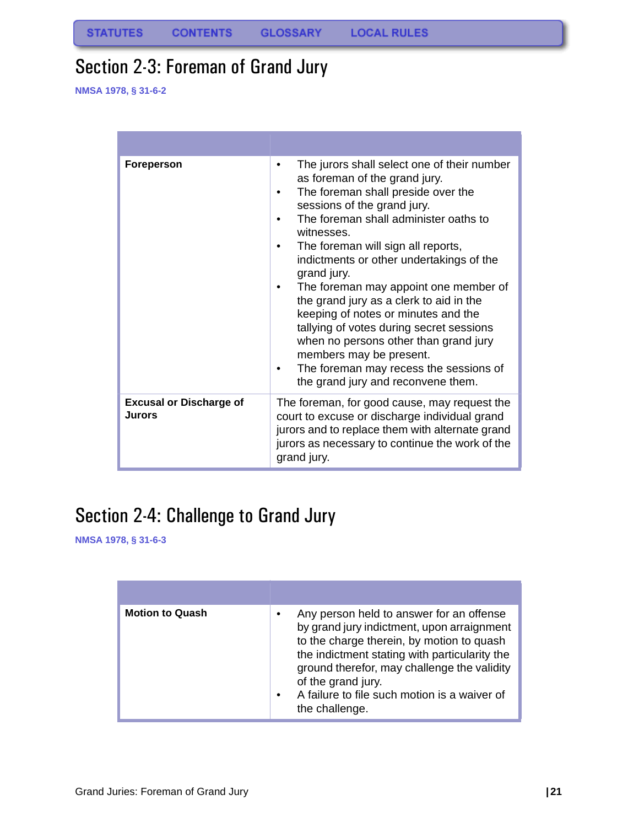# <span id="page-22-0"></span>Section 2-3: Foreman of Grand Jury

**NMSA 1978, § 31-6-2**

| Foreperson                                      | The jurors shall select one of their number<br>as foreman of the grand jury.<br>The foreman shall preside over the<br>sessions of the grand jury.<br>The foreman shall administer oaths to<br>witnesses.<br>The foreman will sign all reports,<br>indictments or other undertakings of the<br>grand jury.<br>The foreman may appoint one member of<br>the grand jury as a clerk to aid in the<br>keeping of notes or minutes and the<br>tallying of votes during secret sessions<br>when no persons other than grand jury<br>members may be present.<br>The foreman may recess the sessions of<br>the grand jury and reconvene them. |
|-------------------------------------------------|--------------------------------------------------------------------------------------------------------------------------------------------------------------------------------------------------------------------------------------------------------------------------------------------------------------------------------------------------------------------------------------------------------------------------------------------------------------------------------------------------------------------------------------------------------------------------------------------------------------------------------------|
| <b>Excusal or Discharge of</b><br><b>Jurors</b> | The foreman, for good cause, may request the<br>court to excuse or discharge individual grand<br>jurors and to replace them with alternate grand<br>jurors as necessary to continue the work of the<br>grand jury.                                                                                                                                                                                                                                                                                                                                                                                                                   |

# <span id="page-22-1"></span>Section 2-4: Challenge to Grand Jury

| <b>Motion to Quash</b> | Any person held to answer for an offense<br>by grand jury indictment, upon arraignment<br>to the charge therein, by motion to quash<br>the indictment stating with particularity the<br>ground therefor, may challenge the validity<br>of the grand jury.<br>A failure to file such motion is a waiver of<br>$\bullet$<br>the challenge. |
|------------------------|------------------------------------------------------------------------------------------------------------------------------------------------------------------------------------------------------------------------------------------------------------------------------------------------------------------------------------------|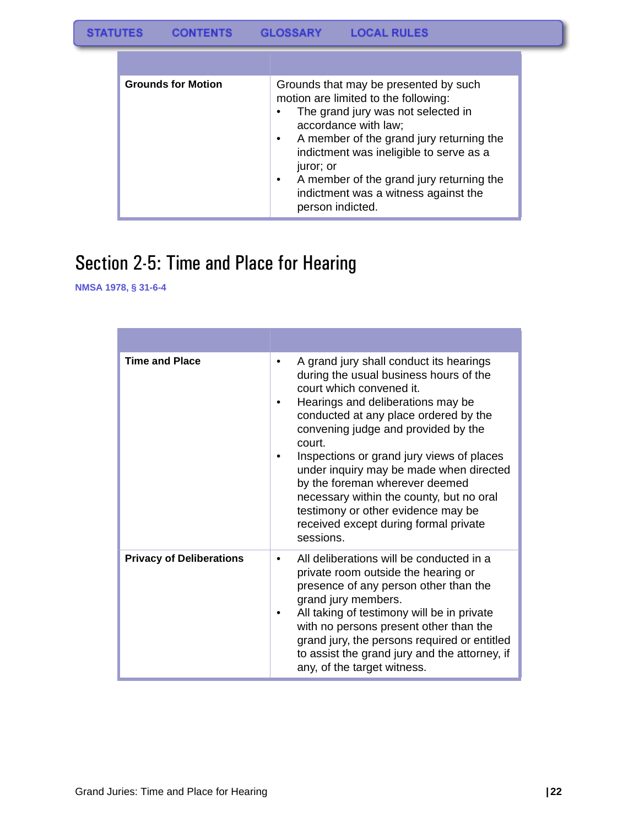| <b>Grounds for Motion</b> | Grounds that may be presented by such<br>motion are limited to the following:<br>The grand jury was not selected in<br>accordance with law;<br>A member of the grand jury returning the<br>$\bullet$<br>indictment was ineligible to serve as a<br>juror; or<br>A member of the grand jury returning the<br>indictment was a witness against the<br>person indicted. |
|---------------------------|----------------------------------------------------------------------------------------------------------------------------------------------------------------------------------------------------------------------------------------------------------------------------------------------------------------------------------------------------------------------|

# <span id="page-23-0"></span>Section 2-5: Time and Place for Hearing

| <b>Time and Place</b>           | A grand jury shall conduct its hearings<br>during the usual business hours of the<br>court which convened it.<br>Hearings and deliberations may be<br>conducted at any place ordered by the<br>convening judge and provided by the<br>court.<br>Inspections or grand jury views of places<br>under inquiry may be made when directed<br>by the foreman wherever deemed<br>necessary within the county, but no oral<br>testimony or other evidence may be<br>received except during formal private<br>sessions. |
|---------------------------------|----------------------------------------------------------------------------------------------------------------------------------------------------------------------------------------------------------------------------------------------------------------------------------------------------------------------------------------------------------------------------------------------------------------------------------------------------------------------------------------------------------------|
| <b>Privacy of Deliberations</b> | All deliberations will be conducted in a<br>٠<br>private room outside the hearing or<br>presence of any person other than the<br>grand jury members.<br>All taking of testimony will be in private<br>with no persons present other than the<br>grand jury, the persons required or entitled<br>to assist the grand jury and the attorney, if<br>any, of the target witness.                                                                                                                                   |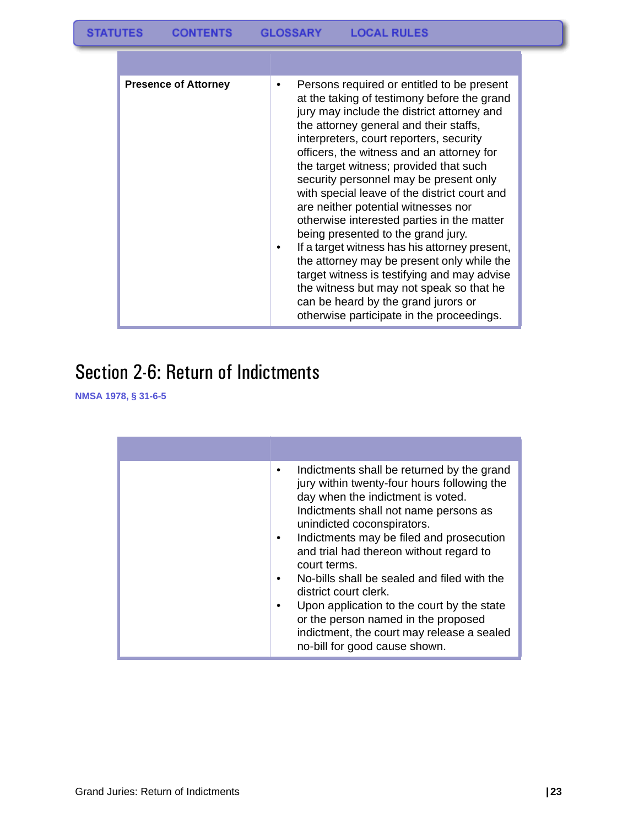| <b>Presence of Attorney</b> | Persons required or entitled to be present<br>at the taking of testimony before the grand<br>jury may include the district attorney and<br>the attorney general and their staffs,<br>interpreters, court reporters, security<br>officers, the witness and an attorney for<br>the target witness; provided that such<br>security personnel may be present only<br>with special leave of the district court and<br>are neither potential witnesses nor<br>otherwise interested parties in the matter<br>being presented to the grand jury.<br>If a target witness has his attorney present,<br>the attorney may be present only while the<br>target witness is testifying and may advise<br>the witness but may not speak so that he<br>can be heard by the grand jurors or<br>otherwise participate in the proceedings. |
|-----------------------------|------------------------------------------------------------------------------------------------------------------------------------------------------------------------------------------------------------------------------------------------------------------------------------------------------------------------------------------------------------------------------------------------------------------------------------------------------------------------------------------------------------------------------------------------------------------------------------------------------------------------------------------------------------------------------------------------------------------------------------------------------------------------------------------------------------------------|

# <span id="page-24-0"></span>Section 2-6: Return of Indictments

| Indictments shall be returned by the grand<br>jury within twenty-four hours following the<br>day when the indictment is voted.<br>Indictments shall not name persons as<br>unindicted coconspirators.<br>Indictments may be filed and prosecution<br>and trial had thereon without regard to<br>court terms.<br>No-bills shall be sealed and filed with the<br>district court clerk.<br>Upon application to the court by the state<br>or the person named in the proposed<br>indictment, the court may release a sealed<br>no-bill for good cause shown. |
|----------------------------------------------------------------------------------------------------------------------------------------------------------------------------------------------------------------------------------------------------------------------------------------------------------------------------------------------------------------------------------------------------------------------------------------------------------------------------------------------------------------------------------------------------------|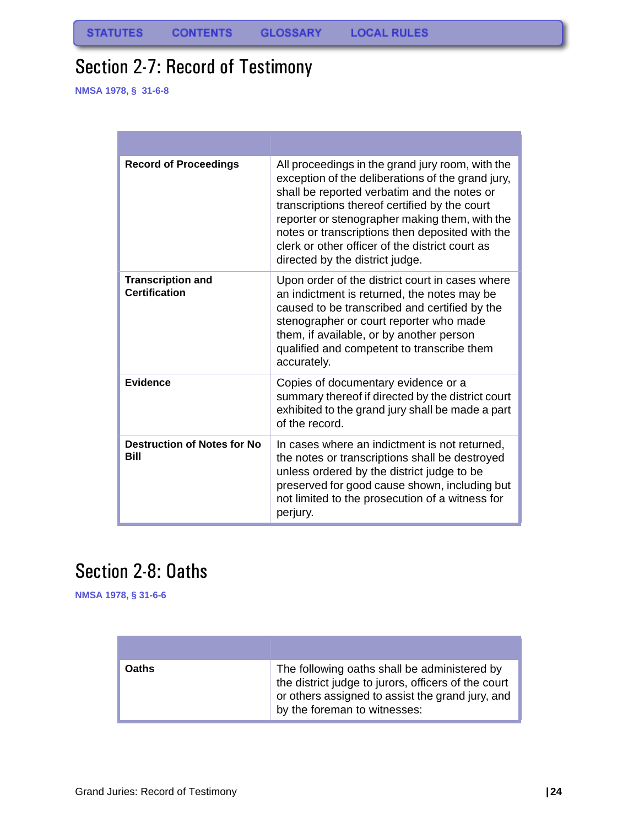# <span id="page-25-0"></span>Section 2-7: Record of Testimony

**NMSA 1978, § 31-6-8**

| <b>Record of Proceedings</b>                     | All proceedings in the grand jury room, with the<br>exception of the deliberations of the grand jury,<br>shall be reported verbatim and the notes or<br>transcriptions thereof certified by the court<br>reporter or stenographer making them, with the<br>notes or transcriptions then deposited with the<br>clerk or other officer of the district court as<br>directed by the district judge. |
|--------------------------------------------------|--------------------------------------------------------------------------------------------------------------------------------------------------------------------------------------------------------------------------------------------------------------------------------------------------------------------------------------------------------------------------------------------------|
| <b>Transcription and</b><br><b>Certification</b> | Upon order of the district court in cases where<br>an indictment is returned, the notes may be<br>caused to be transcribed and certified by the<br>stenographer or court reporter who made<br>them, if available, or by another person<br>qualified and competent to transcribe them<br>accurately.                                                                                              |
| <b>Evidence</b>                                  | Copies of documentary evidence or a<br>summary thereof if directed by the district court<br>exhibited to the grand jury shall be made a part<br>of the record.                                                                                                                                                                                                                                   |
| <b>Destruction of Notes for No</b><br>Bill       | In cases where an indictment is not returned,<br>the notes or transcriptions shall be destroyed<br>unless ordered by the district judge to be<br>preserved for good cause shown, including but<br>not limited to the prosecution of a witness for<br>perjury.                                                                                                                                    |

# <span id="page-25-1"></span>Section 2-8: Oaths

| <b>Daths</b> | The following oaths shall be administered by<br>the district judge to jurors, officers of the court<br>or others assigned to assist the grand jury, and<br>by the foreman to witnesses: |
|--------------|-----------------------------------------------------------------------------------------------------------------------------------------------------------------------------------------|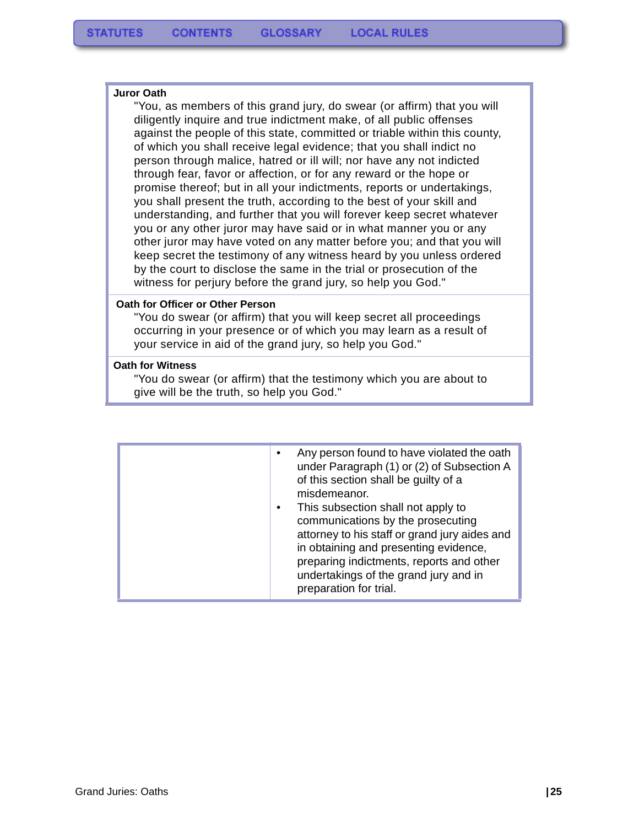#### **Juror Oath**

"You, as members of this grand jury, do swear (or affirm) that you will diligently inquire and true indictment make, of all public offenses against the people of this state, committed or triable within this county, of which you shall receive legal evidence; that you shall indict no person through malice, hatred or ill will; nor have any not indicted through fear, favor or affection, or for any reward or the hope or promise thereof; but in all your indictments, reports or undertakings, you shall present the truth, according to the best of your skill and understanding, and further that you will forever keep secret whatever you or any other juror may have said or in what manner you or any other juror may have voted on any matter before you; and that you will keep secret the testimony of any witness heard by you unless ordered by the court to disclose the same in the trial or prosecution of the witness for perjury before the grand jury, so help you God."

#### **Oath for Officer or Other Person**

"You do swear (or affirm) that you will keep secret all proceedings occurring in your presence or of which you may learn as a result of your service in aid of the grand jury, so help you God."

#### **Oath for Witness**

"You do swear (or affirm) that the testimony which you are about to give will be the truth, so help you God."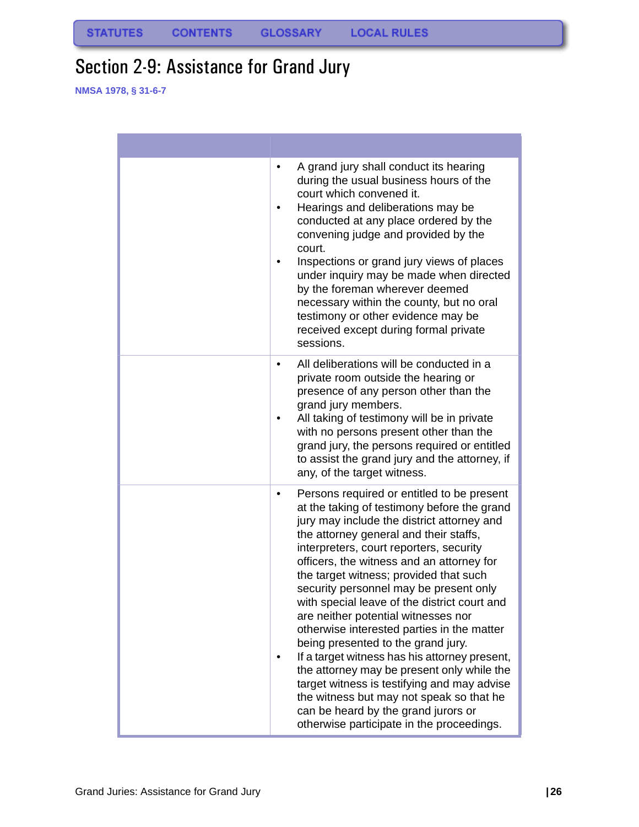# <span id="page-27-0"></span>Section 2-9: Assistance for Grand Jury

| A grand jury shall conduct its hearing<br>٠<br>during the usual business hours of the<br>court which convened it.<br>Hearings and deliberations may be<br>٠<br>conducted at any place ordered by the<br>convening judge and provided by the<br>court.<br>Inspections or grand jury views of places<br>under inquiry may be made when directed<br>by the foreman wherever deemed<br>necessary within the county, but no oral<br>testimony or other evidence may be<br>received except during formal private<br>sessions.                                                                                                                                                                                                                                                                                                     |
|-----------------------------------------------------------------------------------------------------------------------------------------------------------------------------------------------------------------------------------------------------------------------------------------------------------------------------------------------------------------------------------------------------------------------------------------------------------------------------------------------------------------------------------------------------------------------------------------------------------------------------------------------------------------------------------------------------------------------------------------------------------------------------------------------------------------------------|
| All deliberations will be conducted in a<br>٠<br>private room outside the hearing or<br>presence of any person other than the<br>grand jury members.<br>All taking of testimony will be in private<br>with no persons present other than the<br>grand jury, the persons required or entitled<br>to assist the grand jury and the attorney, if<br>any, of the target witness.                                                                                                                                                                                                                                                                                                                                                                                                                                                |
| Persons required or entitled to be present<br>٠<br>at the taking of testimony before the grand<br>jury may include the district attorney and<br>the attorney general and their staffs,<br>interpreters, court reporters, security<br>officers, the witness and an attorney for<br>the target witness; provided that such<br>security personnel may be present only<br>with special leave of the district court and<br>are neither potential witnesses nor<br>otherwise interested parties in the matter<br>being presented to the grand jury.<br>If a target witness has his attorney present,<br>the attorney may be present only while the<br>target witness is testifying and may advise<br>the witness but may not speak so that he<br>can be heard by the grand jurors or<br>otherwise participate in the proceedings. |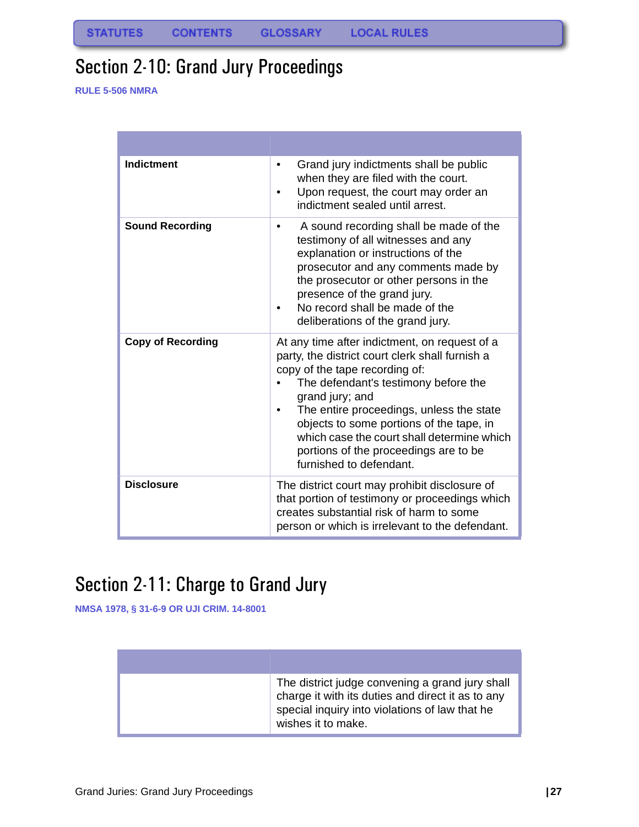# <span id="page-28-0"></span>Section 2-10: Grand Jury Proceedings

**RULE 5-506 NMRA**

| <b>Indictment</b>        | Grand jury indictments shall be public<br>٠<br>when they are filed with the court.<br>Upon request, the court may order an<br>indictment sealed until arrest.                                                                                                                                                                                                                                           |
|--------------------------|---------------------------------------------------------------------------------------------------------------------------------------------------------------------------------------------------------------------------------------------------------------------------------------------------------------------------------------------------------------------------------------------------------|
| <b>Sound Recording</b>   | A sound recording shall be made of the<br>testimony of all witnesses and any<br>explanation or instructions of the<br>prosecutor and any comments made by<br>the prosecutor or other persons in the<br>presence of the grand jury.<br>No record shall be made of the<br>deliberations of the grand jury.                                                                                                |
| <b>Copy of Recording</b> | At any time after indictment, on request of a<br>party, the district court clerk shall furnish a<br>copy of the tape recording of:<br>The defendant's testimony before the<br>grand jury; and<br>The entire proceedings, unless the state<br>objects to some portions of the tape, in<br>which case the court shall determine which<br>portions of the proceedings are to be<br>furnished to defendant. |
| <b>Disclosure</b>        | The district court may prohibit disclosure of<br>that portion of testimony or proceedings which<br>creates substantial risk of harm to some<br>person or which is irrelevant to the defendant.                                                                                                                                                                                                          |

# <span id="page-28-1"></span>Section 2-11: Charge to Grand Jury

**NMSA 1978, § 31-6-9 OR UJI CRIM. 14-8001**

| The district judge convening a grand jury shall<br>charge it with its duties and direct it as to any<br>special inquiry into violations of law that he<br>wishes it to make. |
|------------------------------------------------------------------------------------------------------------------------------------------------------------------------------|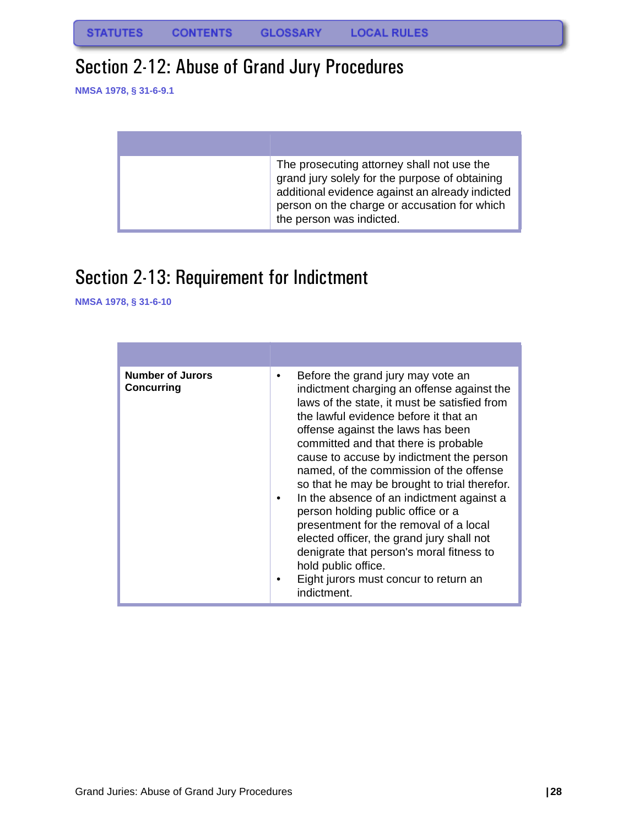# <span id="page-29-0"></span>Section 2-12: Abuse of Grand Jury Procedures

**NMSA 1978, § 31-6-9.1**

| The prosecuting attorney shall not use the<br>grand jury solely for the purpose of obtaining<br>additional evidence against an already indicted<br>person on the charge or accusation for which<br>the person was indicted. |
|-----------------------------------------------------------------------------------------------------------------------------------------------------------------------------------------------------------------------------|

# <span id="page-29-1"></span>Section 2-13: Requirement for Indictment

| <b>Number of Jurors</b><br><b>Concurring</b> | Before the grand jury may vote an<br>indictment charging an offense against the<br>laws of the state, it must be satisfied from<br>the lawful evidence before it that an<br>offense against the laws has been<br>committed and that there is probable<br>cause to accuse by indictment the person<br>named, of the commission of the offense<br>so that he may be brought to trial therefor.<br>In the absence of an indictment against a<br>person holding public office or a<br>presentment for the removal of a local<br>elected officer, the grand jury shall not<br>denigrate that person's moral fitness to<br>hold public office.<br>Eight jurors must concur to return an<br>indictment. |
|----------------------------------------------|--------------------------------------------------------------------------------------------------------------------------------------------------------------------------------------------------------------------------------------------------------------------------------------------------------------------------------------------------------------------------------------------------------------------------------------------------------------------------------------------------------------------------------------------------------------------------------------------------------------------------------------------------------------------------------------------------|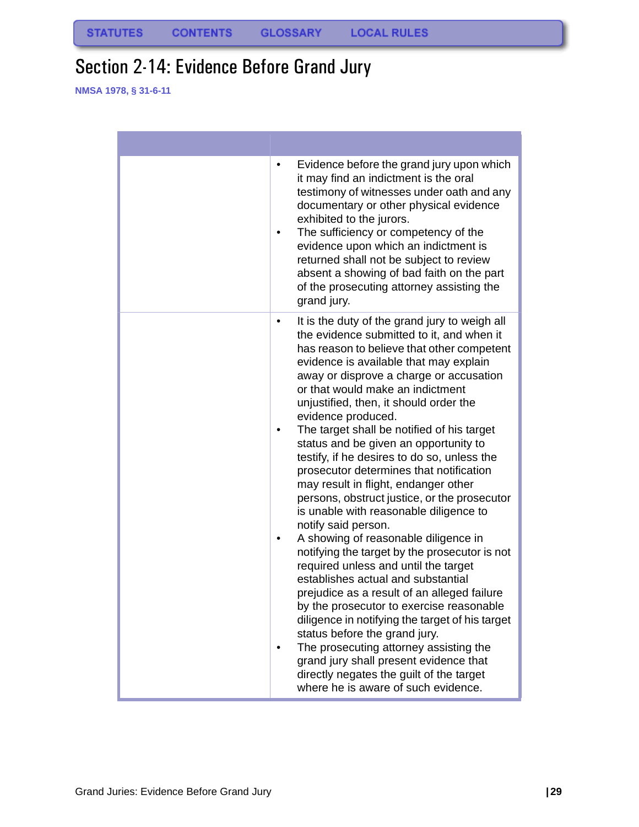# <span id="page-30-0"></span>Section 2-14: Evidence Before Grand Jury

| Evidence before the grand jury upon which<br>٠<br>it may find an indictment is the oral<br>testimony of witnesses under oath and any<br>documentary or other physical evidence<br>exhibited to the jurors.<br>The sufficiency or competency of the<br>٠<br>evidence upon which an indictment is<br>returned shall not be subject to review<br>absent a showing of bad faith on the part<br>of the prosecuting attorney assisting the<br>grand jury.                                                                                                                                                                                                                                                                                                                                                                                                                                                                                                                                                                                                                                                                                                                                                                     |
|-------------------------------------------------------------------------------------------------------------------------------------------------------------------------------------------------------------------------------------------------------------------------------------------------------------------------------------------------------------------------------------------------------------------------------------------------------------------------------------------------------------------------------------------------------------------------------------------------------------------------------------------------------------------------------------------------------------------------------------------------------------------------------------------------------------------------------------------------------------------------------------------------------------------------------------------------------------------------------------------------------------------------------------------------------------------------------------------------------------------------------------------------------------------------------------------------------------------------|
| It is the duty of the grand jury to weigh all<br>٠<br>the evidence submitted to it, and when it<br>has reason to believe that other competent<br>evidence is available that may explain<br>away or disprove a charge or accusation<br>or that would make an indictment<br>unjustified, then, it should order the<br>evidence produced.<br>The target shall be notified of his target<br>٠<br>status and be given an opportunity to<br>testify, if he desires to do so, unless the<br>prosecutor determines that notification<br>may result in flight, endanger other<br>persons, obstruct justice, or the prosecutor<br>is unable with reasonable diligence to<br>notify said person.<br>A showing of reasonable diligence in<br>٠<br>notifying the target by the prosecutor is not<br>required unless and until the target<br>establishes actual and substantial<br>prejudice as a result of an alleged failure<br>by the prosecutor to exercise reasonable<br>diligence in notifying the target of his target<br>status before the grand jury.<br>The prosecuting attorney assisting the<br>grand jury shall present evidence that<br>directly negates the guilt of the target<br>where he is aware of such evidence. |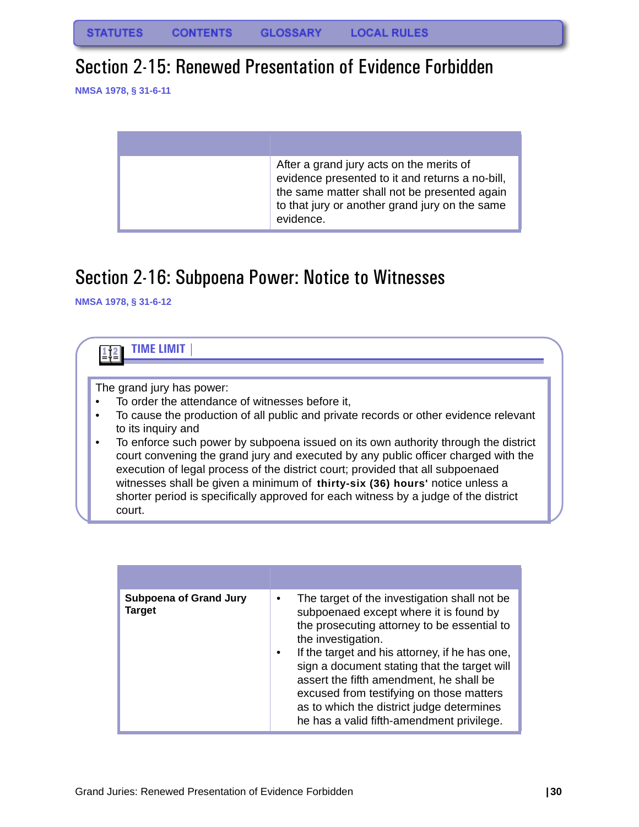### <span id="page-31-0"></span>Section 2-15: Renewed Presentation of Evidence Forbidden

**NMSA 1978, § 31-6-11**

| After a grand jury acts on the merits of<br>evidence presented to it and returns a no-bill,<br>the same matter shall not be presented again<br>to that jury or another grand jury on the same<br>evidence. |
|------------------------------------------------------------------------------------------------------------------------------------------------------------------------------------------------------------|

# <span id="page-31-1"></span>Section 2-16: Subpoena Power: Notice to Witnesses



| <b>Subpoena of Grand Jury</b><br>Target | The target of the investigation shall not be<br>subpoenaed except where it is found by<br>the prosecuting attorney to be essential to<br>the investigation.<br>If the target and his attorney, if he has one,<br>sign a document stating that the target will<br>assert the fifth amendment, he shall be<br>excused from testifying on those matters<br>as to which the district judge determines<br>he has a valid fifth-amendment privilege. |
|-----------------------------------------|------------------------------------------------------------------------------------------------------------------------------------------------------------------------------------------------------------------------------------------------------------------------------------------------------------------------------------------------------------------------------------------------------------------------------------------------|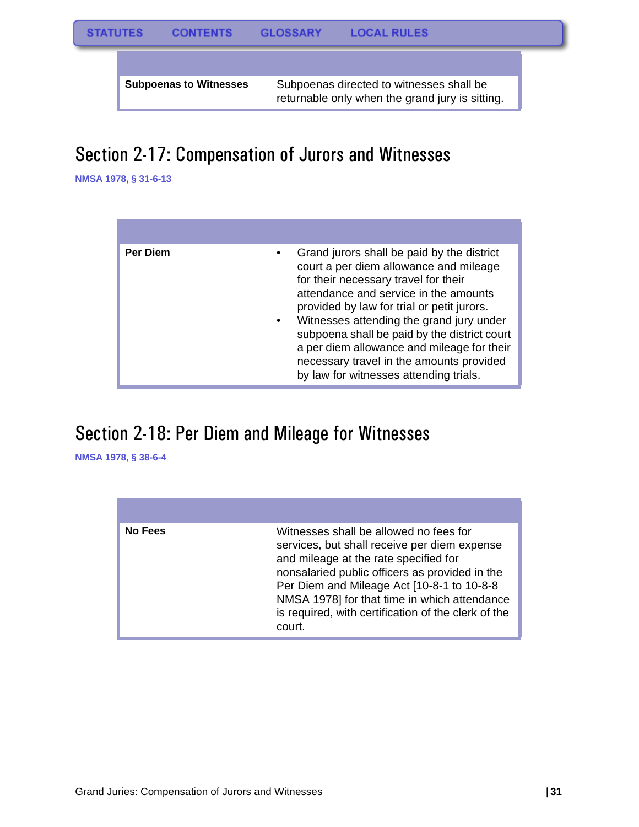**Subpoenas to Witnesses** | Subpoenas directed to witnesses shall be

returnable only when the grand jury is sitting.

# <span id="page-32-0"></span>Section 2-17: Compensation of Jurors and Witnesses

**NMSA 1978, § 31-6-13**

| <b>Per Diem</b> | Grand jurors shall be paid by the district<br>court a per diem allowance and mileage<br>for their necessary travel for their<br>attendance and service in the amounts<br>provided by law for trial or petit jurors.<br>Witnesses attending the grand jury under<br>subpoena shall be paid by the district court<br>a per diem allowance and mileage for their<br>necessary travel in the amounts provided<br>by law for witnesses attending trials. |
|-----------------|-----------------------------------------------------------------------------------------------------------------------------------------------------------------------------------------------------------------------------------------------------------------------------------------------------------------------------------------------------------------------------------------------------------------------------------------------------|

# <span id="page-32-1"></span>Section 2-18: Per Diem and Mileage for Witnesses

| No Fees | Witnesses shall be allowed no fees for<br>services, but shall receive per diem expense<br>and mileage at the rate specified for<br>nonsalaried public officers as provided in the<br>Per Diem and Mileage Act [10-8-1 to 10-8-8]<br>NMSA 1978] for that time in which attendance<br>is required, with certification of the clerk of the<br>court. |
|---------|---------------------------------------------------------------------------------------------------------------------------------------------------------------------------------------------------------------------------------------------------------------------------------------------------------------------------------------------------|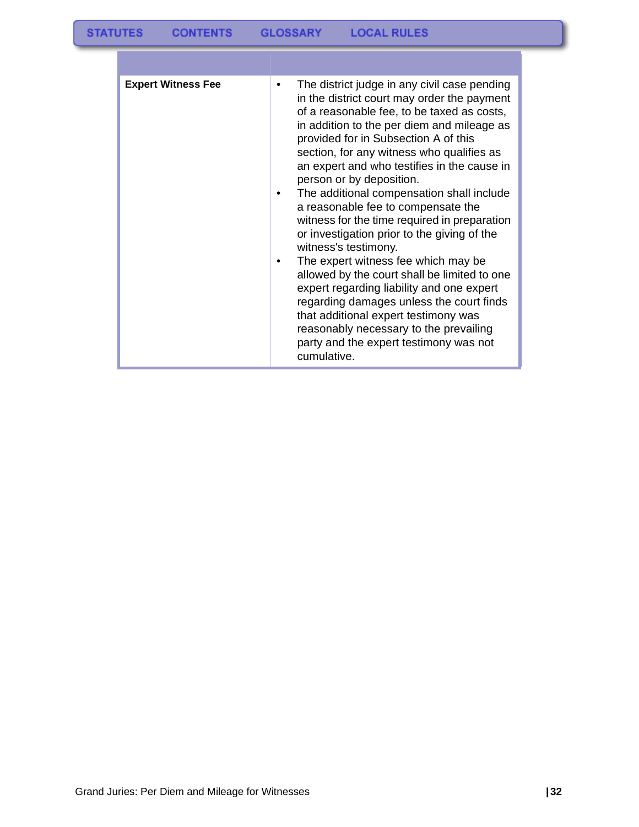| <b>Expert Witness Fee</b> | The district judge in any civil case pending<br>in the district court may order the payment<br>of a reasonable fee, to be taxed as costs,<br>in addition to the per diem and mileage as<br>provided for in Subsection A of this<br>section, for any witness who qualifies as<br>an expert and who testifies in the cause in<br>person or by deposition.<br>The additional compensation shall include<br>a reasonable fee to compensate the<br>witness for the time required in preparation<br>or investigation prior to the giving of the<br>witness's testimony.<br>The expert witness fee which may be<br>allowed by the court shall be limited to one<br>expert regarding liability and one expert<br>regarding damages unless the court finds<br>that additional expert testimony was<br>reasonably necessary to the prevailing<br>party and the expert testimony was not<br>cumulative. |
|---------------------------|----------------------------------------------------------------------------------------------------------------------------------------------------------------------------------------------------------------------------------------------------------------------------------------------------------------------------------------------------------------------------------------------------------------------------------------------------------------------------------------------------------------------------------------------------------------------------------------------------------------------------------------------------------------------------------------------------------------------------------------------------------------------------------------------------------------------------------------------------------------------------------------------|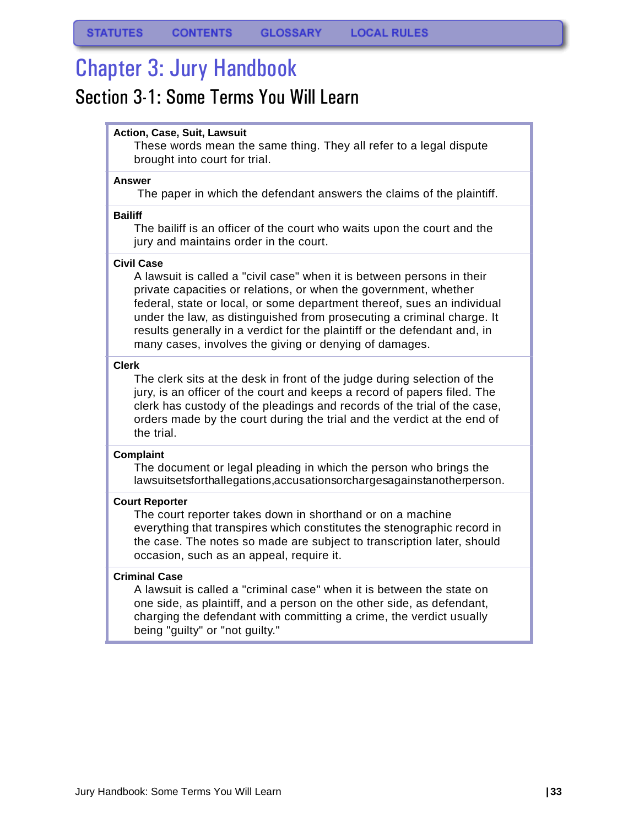# <span id="page-34-0"></span>Chapter 3: Jury Handbook

### <span id="page-34-1"></span>Section 3-1: Some Terms You Will Learn

#### **Action, Case, Suit, Lawsuit**

These words mean the same thing. They all refer to a legal dispute brought into court for trial.

#### **Answer**

The paper in which the defendant answers the claims of the plaintiff.

#### **Bailiff**

The bailiff is an officer of the court who waits upon the court and the jury and maintains order in the court.

#### **Civil Case**

A lawsuit is called a "civil case" when it is between persons in their private capacities or relations, or when the government, whether federal, state or local, or some department thereof, sues an individual under the law, as distinguished from prosecuting a criminal charge. It results generally in a verdict for the plaintiff or the defendant and, in many cases, involves the giving or denying of damages.

#### **Clerk**

The clerk sits at the desk in front of the judge during selection of the jury, is an officer of the court and keeps a record of papers filed. The clerk has custody of the pleadings and records of the trial of the case, orders made by the court during the trial and the verdict at the end of the trial.

#### **Complaint**

The document or legal pleading in which the person who brings the lawsuit sets forth allegations, accusations or charges against another person.

#### **Court Reporter**

The court reporter takes down in shorthand or on a machine everything that transpires which constitutes the stenographic record in the case. The notes so made are subject to transcription later, should occasion, such as an appeal, require it.

#### **Criminal Case**

A lawsuit is called a "criminal case" when it is between the state on one side, as plaintiff, and a person on the other side, as defendant, charging the defendant with committing a crime, the verdict usually being "guilty" or "not guilty."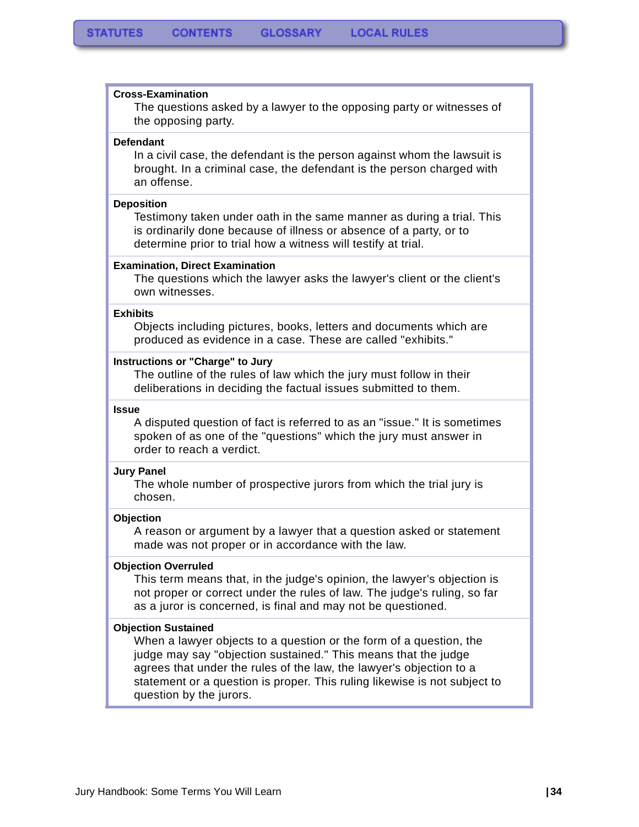#### **Cross-Examination**

The questions asked by a lawyer to the opposing party or witnesses of the opposing party.

#### **Defendant**

In a civil case, the defendant is the person against whom the lawsuit is brought. In a criminal case, the defendant is the person charged with an offense.

#### **Deposition**

Testimony taken under oath in the same manner as during a trial. This is ordinarily done because of illness or absence of a party, or to determine prior to trial how a witness will testify at trial.

#### **Examination, Direct Examination**

The questions which the lawyer asks the lawyer's client or the client's own witnesses.

#### **Exhibits**

Objects including pictures, books, letters and documents which are produced as evidence in a case. These are called "exhibits."

#### **Instructions or "Charge" to Jury**

The outline of the rules of law which the jury must follow in their deliberations in deciding the factual issues submitted to them.

#### **Issue**

A disputed question of fact is referred to as an "issue." It is sometimes spoken of as one of the "questions" which the jury must answer in order to reach a verdict.

#### **Jury Panel**

The whole number of prospective jurors from which the trial jury is chosen.

#### **Objection**

A reason or argument by a lawyer that a question asked or statement made was not proper or in accordance with the law.

#### **Objection Overruled**

This term means that, in the judge's opinion, the lawyer's objection is not proper or correct under the rules of law. The judge's ruling, so far as a juror is concerned, is final and may not be questioned.

#### **Objection Sustained**

When a lawyer objects to a question or the form of a question, the judge may say "objection sustained." This means that the judge agrees that under the rules of the law, the lawyer's objection to a statement or a question is proper. This ruling likewise is not subject to question by the jurors.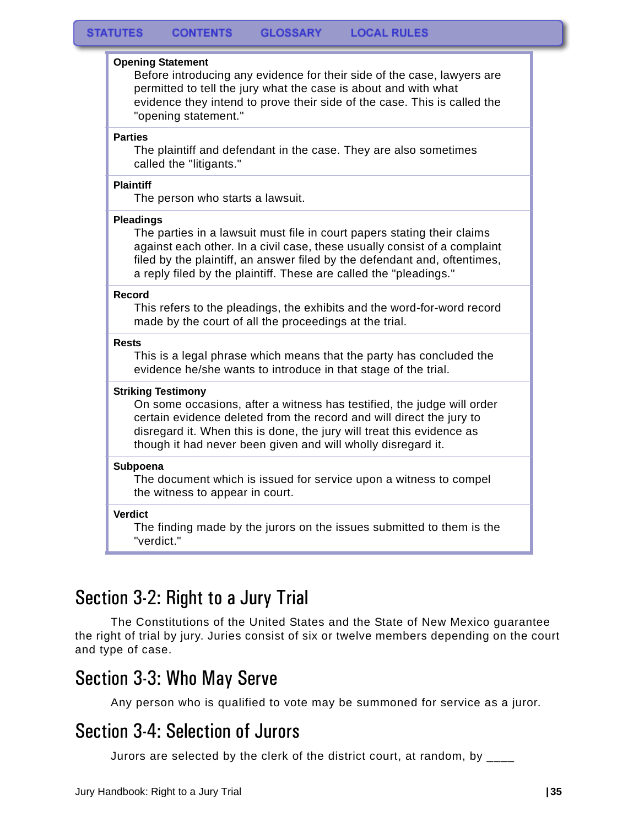#### **Opening Statement**

Before introducing any evidence for their side of the case, lawyers are permitted to tell the jury what the case is about and with what evidence they intend to prove their side of the case. This is called the "opening statement."

#### **Parties**

The plaintiff and defendant in the case. They are also sometimes called the "litigants."

#### **Plaintiff**

The person who starts a lawsuit.

#### **Pleadings**

The parties in a lawsuit must file in court papers stating their claims against each other. In a civil case, these usually consist of a complaint filed by the plaintiff, an answer filed by the defendant and, oftentimes, a reply filed by the plaintiff. These are called the "pleadings."

#### **Record**

This refers to the pleadings, the exhibits and the word-for-word record made by the court of all the proceedings at the trial.

#### **Rests**

This is a legal phrase which means that the party has concluded the evidence he/she wants to introduce in that stage of the trial.

#### **Striking Testimony**

On some occasions, after a witness has testified, the judge will order certain evidence deleted from the record and will direct the jury to disregard it. When this is done, the jury will treat this evidence as though it had never been given and will wholly disregard it.

#### **Subpoena**

The document which is issued for service upon a witness to compel the witness to appear in court.

#### **Verdict**

The finding made by the jurors on the issues submitted to them is the "verdict."

### <span id="page-36-0"></span>Section 3-2: Right to a Jury Trial

 The Constitutions of the United States and the State of New Mexico guarantee the right of trial by jury. Juries consist of six or twelve members depending on the court and type of case.

### <span id="page-36-1"></span>Section 3-3: Who May Serve

Any person who is qualified to vote may be summoned for service as a juror.

### <span id="page-36-2"></span>Section 3-4: Selection of Jurors

Jurors are selected by the clerk of the district court, at random, by  $\frac{1}{2}$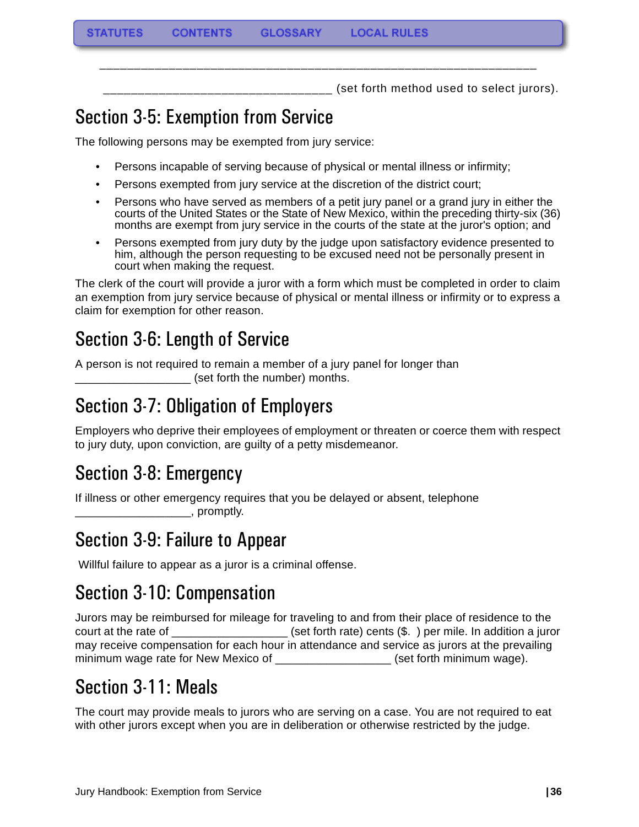\_\_\_\_\_\_\_\_\_\_\_\_\_\_\_\_\_\_\_\_\_\_\_\_\_\_\_\_\_\_\_\_\_ (set forth method used to select jurors).

# <span id="page-37-0"></span>Section 3-5: Exemption from Service

The following persons may be exempted from jury service:

• Persons incapable of serving because of physical or mental illness or infirmity;

\_\_\_\_\_\_\_\_\_\_\_\_\_\_\_\_\_\_\_\_\_\_\_\_\_\_\_\_\_\_\_\_\_\_\_\_\_\_\_\_\_\_\_\_\_\_\_\_\_\_\_\_\_\_\_\_\_\_\_\_\_\_\_

- Persons exempted from jury service at the discretion of the district court;
- Persons who have served as members of a petit jury panel or a grand jury in either the courts of the United States or the State of New Mexico, within the preceding thirty-six (36) months are exempt from jury service in the courts of the state at the juror's option; and
- Persons exempted from jury duty by the judge upon satisfactory evidence presented to him, although the person requesting to be excused need not be personally present in court when making the request.

The clerk of the court will provide a juror with a form which must be completed in order to claim an exemption from jury service because of physical or mental illness or infirmity or to express a claim for exemption for other reason.

# <span id="page-37-1"></span>Section 3-6: Length of Service

A person is not required to remain a member of a jury panel for longer than (set forth the number) months.

# <span id="page-37-2"></span>Section 3-7: Obligation of Employers

Employers who deprive their employees of employment or threaten or coerce them with respect to jury duty, upon conviction, are guilty of a petty misdemeanor.

## <span id="page-37-3"></span>Section 3-8: Emergency

If illness or other emergency requires that you be delayed or absent, telephone \_\_\_\_\_\_\_\_\_\_\_\_\_\_\_\_\_\_, promptly.

## <span id="page-37-4"></span>Section 3-9: Failure to Appear

Willful failure to appear as a juror is a criminal offense.

## <span id="page-37-5"></span>Section 3-10: Compensation

Jurors may be reimbursed for mileage for traveling to and from their place of residence to the court at the rate of \_\_\_\_\_\_\_\_\_\_\_\_\_\_\_\_\_\_\_\_\_(set forth rate) cents (\$.) per mile. In addition a juror may receive compensation for each hour in attendance and service as jurors at the prevailing minimum wage rate for New Mexico of \_\_\_\_\_\_\_\_\_\_\_\_\_\_\_\_\_\_\_\_\_\_ (set forth minimum wage).

## <span id="page-37-6"></span>Section 3-11: Meals

The court may provide meals to jurors who are serving on a case. You are not required to eat with other jurors except when you are in deliberation or otherwise restricted by the judge.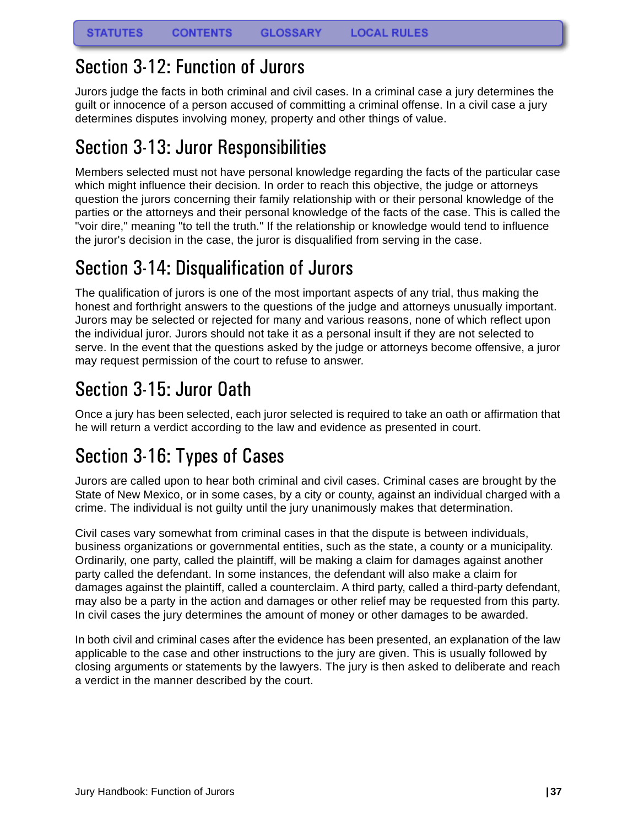### <span id="page-38-0"></span>Section 3-12: Function of Jurors

Jurors judge the facts in both criminal and civil cases. In a criminal case a jury determines the guilt or innocence of a person accused of committing a criminal offense. In a civil case a jury determines disputes involving money, property and other things of value.

## <span id="page-38-1"></span>Section 3-13: Juror Responsibilities

Members selected must not have personal knowledge regarding the facts of the particular case which might influence their decision. In order to reach this objective, the judge or attorneys question the jurors concerning their family relationship with or their personal knowledge of the parties or the attorneys and their personal knowledge of the facts of the case. This is called the "voir dire," meaning "to tell the truth." If the relationship or knowledge would tend to influence the juror's decision in the case, the juror is disqualified from serving in the case.

# <span id="page-38-2"></span>Section 3-14: Disqualification of Jurors

The qualification of jurors is one of the most important aspects of any trial, thus making the honest and forthright answers to the questions of the judge and attorneys unusually important. Jurors may be selected or rejected for many and various reasons, none of which reflect upon the individual juror. Jurors should not take it as a personal insult if they are not selected to serve. In the event that the questions asked by the judge or attorneys become offensive, a juror may request permission of the court to refuse to answer.

# <span id="page-38-3"></span>Section 3-15: Juror Oath

Once a jury has been selected, each juror selected is required to take an oath or affirmation that he will return a verdict according to the law and evidence as presented in court.

# <span id="page-38-4"></span>Section 3-16: Types of Cases

Jurors are called upon to hear both criminal and civil cases. Criminal cases are brought by the State of New Mexico, or in some cases, by a city or county, against an individual charged with a crime. The individual is not guilty until the jury unanimously makes that determination.

Civil cases vary somewhat from criminal cases in that the dispute is between individuals, business organizations or governmental entities, such as the state, a county or a municipality. Ordinarily, one party, called the plaintiff, will be making a claim for damages against another party called the defendant. In some instances, the defendant will also make a claim for damages against the plaintiff, called a counterclaim. A third party, called a third-party defendant, may also be a party in the action and damages or other relief may be requested from this party. In civil cases the jury determines the amount of money or other damages to be awarded.

In both civil and criminal cases after the evidence has been presented, an explanation of the law applicable to the case and other instructions to the jury are given. This is usually followed by closing arguments or statements by the lawyers. The jury is then asked to deliberate and reach a verdict in the manner described by the court.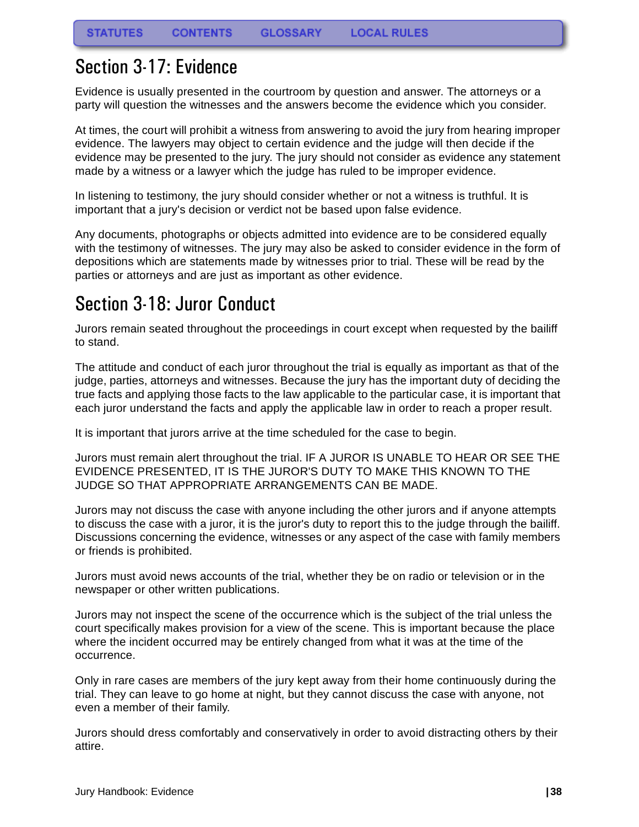### <span id="page-39-0"></span>Section 3-17: Evidence

Evidence is usually presented in the courtroom by question and answer. The attorneys or a party will question the witnesses and the answers become the evidence which you consider.

At times, the court will prohibit a witness from answering to avoid the jury from hearing improper evidence. The lawyers may object to certain evidence and the judge will then decide if the evidence may be presented to the jury. The jury should not consider as evidence any statement made by a witness or a lawyer which the judge has ruled to be improper evidence.

In listening to testimony, the jury should consider whether or not a witness is truthful. It is important that a jury's decision or verdict not be based upon false evidence.

Any documents, photographs or objects admitted into evidence are to be considered equally with the testimony of witnesses. The jury may also be asked to consider evidence in the form of depositions which are statements made by witnesses prior to trial. These will be read by the parties or attorneys and are just as important as other evidence.

## <span id="page-39-1"></span>Section 3-18: Juror Conduct

Jurors remain seated throughout the proceedings in court except when requested by the bailiff to stand.

The attitude and conduct of each juror throughout the trial is equally as important as that of the judge, parties, attorneys and witnesses. Because the jury has the important duty of deciding the true facts and applying those facts to the law applicable to the particular case, it is important that each juror understand the facts and apply the applicable law in order to reach a proper result.

It is important that jurors arrive at the time scheduled for the case to begin.

Jurors must remain alert throughout the trial. IF A JUROR IS UNABLE TO HEAR OR SEE THE EVIDENCE PRESENTED, IT IS THE JUROR'S DUTY TO MAKE THIS KNOWN TO THE JUDGE SO THAT APPROPRIATE ARRANGEMENTS CAN BE MADE.

Jurors may not discuss the case with anyone including the other jurors and if anyone attempts to discuss the case with a juror, it is the juror's duty to report this to the judge through the bailiff. Discussions concerning the evidence, witnesses or any aspect of the case with family members or friends is prohibited.

Jurors must avoid news accounts of the trial, whether they be on radio or television or in the newspaper or other written publications.

Jurors may not inspect the scene of the occurrence which is the subject of the trial unless the court specifically makes provision for a view of the scene. This is important because the place where the incident occurred may be entirely changed from what it was at the time of the occurrence.

Only in rare cases are members of the jury kept away from their home continuously during the trial. They can leave to go home at night, but they cannot discuss the case with anyone, not even a member of their family.

Jurors should dress comfortably and conservatively in order to avoid distracting others by their attire.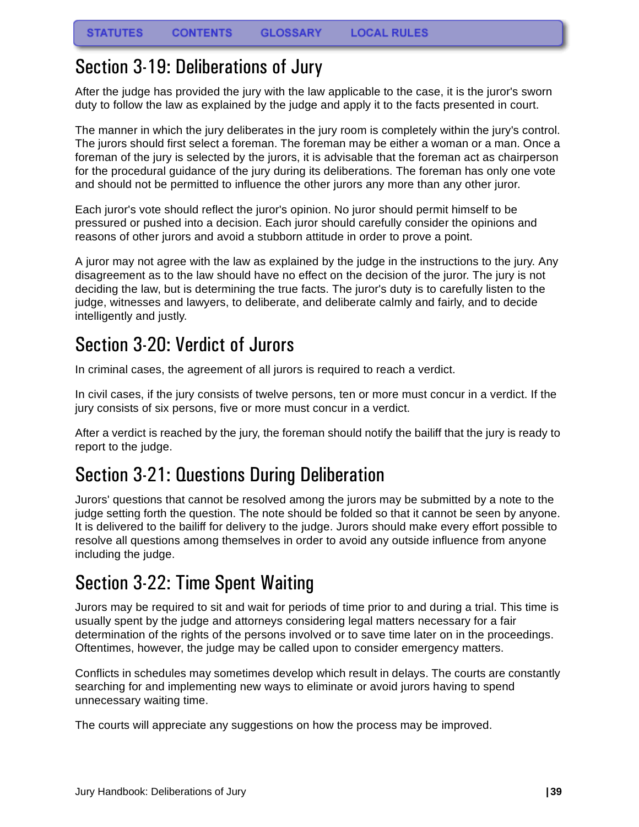### <span id="page-40-0"></span>Section 3-19: Deliberations of Jury

After the judge has provided the jury with the law applicable to the case, it is the juror's sworn duty to follow the law as explained by the judge and apply it to the facts presented in court.

The manner in which the jury deliberates in the jury room is completely within the jury's control. The jurors should first select a foreman. The foreman may be either a woman or a man. Once a foreman of the jury is selected by the jurors, it is advisable that the foreman act as chairperson for the procedural guidance of the jury during its deliberations. The foreman has only one vote and should not be permitted to influence the other jurors any more than any other juror.

Each juror's vote should reflect the juror's opinion. No juror should permit himself to be pressured or pushed into a decision. Each juror should carefully consider the opinions and reasons of other jurors and avoid a stubborn attitude in order to prove a point.

A juror may not agree with the law as explained by the judge in the instructions to the jury. Any disagreement as to the law should have no effect on the decision of the juror. The jury is not deciding the law, but is determining the true facts. The juror's duty is to carefully listen to the judge, witnesses and lawyers, to deliberate, and deliberate calmly and fairly, and to decide intelligently and justly.

# <span id="page-40-1"></span>Section 3-20: Verdict of Jurors

In criminal cases, the agreement of all jurors is required to reach a verdict.

In civil cases, if the jury consists of twelve persons, ten or more must concur in a verdict. If the jury consists of six persons, five or more must concur in a verdict.

After a verdict is reached by the jury, the foreman should notify the bailiff that the jury is ready to report to the judge.

## <span id="page-40-2"></span>Section 3-21: Questions During Deliberation

Jurors' questions that cannot be resolved among the jurors may be submitted by a note to the judge setting forth the question. The note should be folded so that it cannot be seen by anyone. It is delivered to the bailiff for delivery to the judge. Jurors should make every effort possible to resolve all questions among themselves in order to avoid any outside influence from anyone including the judge.

## <span id="page-40-3"></span>Section 3-22: Time Spent Waiting

Jurors may be required to sit and wait for periods of time prior to and during a trial. This time is usually spent by the judge and attorneys considering legal matters necessary for a fair determination of the rights of the persons involved or to save time later on in the proceedings. Oftentimes, however, the judge may be called upon to consider emergency matters.

Conflicts in schedules may sometimes develop which result in delays. The courts are constantly searching for and implementing new ways to eliminate or avoid jurors having to spend unnecessary waiting time.

The courts will appreciate any suggestions on how the process may be improved.